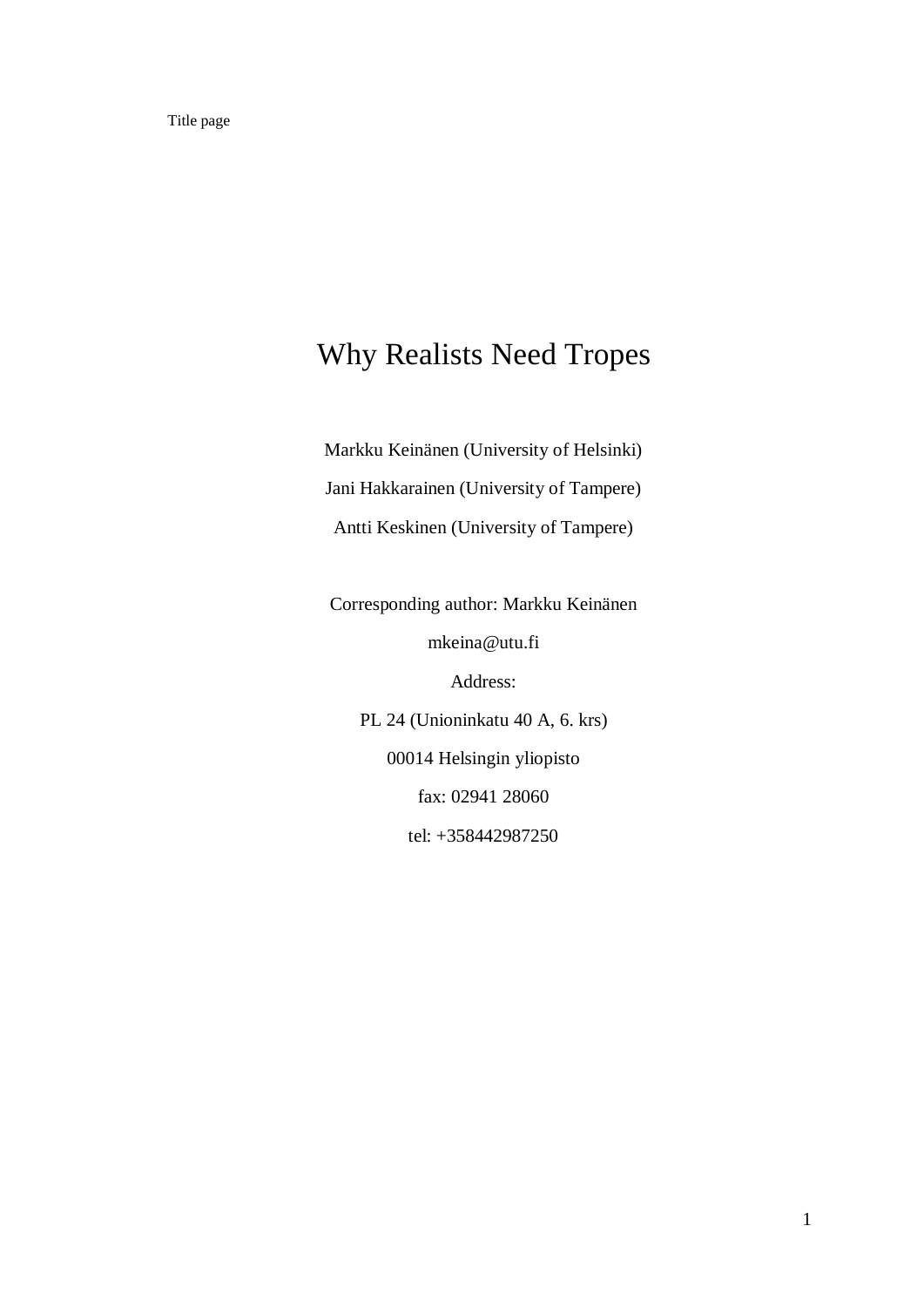# Why Realists Need Tropes

Markku Keinänen (University of Helsinki) Jani Hakkarainen (University of Tampere) Antti Keskinen (University of Tampere)

Corresponding author: Markku Keinänen mkeina@utu.fi Address: PL 24 (Unioninkatu 40 A, 6. krs) 00014 Helsingin yliopisto

fax: 02941 28060

tel: +358442987250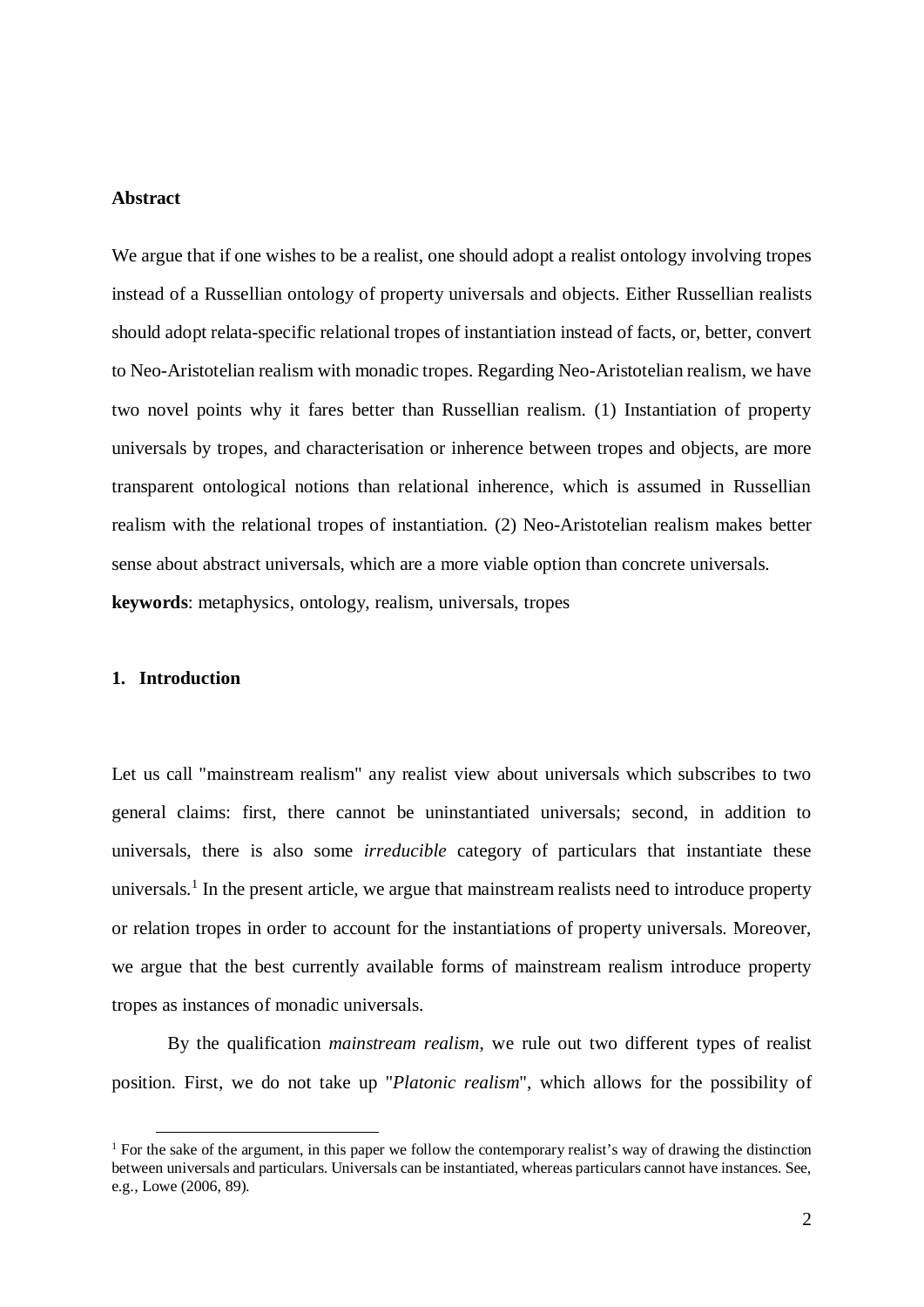### **Abstract**

We argue that if one wishes to be a realist, one should adopt a realist ontology involving tropes instead of a Russellian ontology of property universals and objects. Either Russellian realists should adopt relata-specific relational tropes of instantiation instead of facts, or, better, convert to Neo-Aristotelian realism with monadic tropes. Regarding Neo-Aristotelian realism, we have two novel points why it fares better than Russellian realism. (1) Instantiation of property universals by tropes, and characterisation or inherence between tropes and objects, are more transparent ontological notions than relational inherence, which is assumed in Russellian realism with the relational tropes of instantiation. (2) Neo-Aristotelian realism makes better sense about abstract universals, which are a more viable option than concrete universals. **keywords**: metaphysics, ontology, realism, universals, tropes

### **1. Introduction**

 $\overline{a}$ 

Let us call "mainstream realism" any realist view about universals which subscribes to two general claims: first, there cannot be uninstantiated universals; second, in addition to universals, there is also some *irreducible* category of particulars that instantiate these universals.<sup>1</sup> In the present article, we argue that mainstream realists need to introduce property or relation tropes in order to account for the instantiations of property universals. Moreover, we argue that the best currently available forms of mainstream realism introduce property tropes as instances of monadic universals.

By the qualification *mainstream realism*, we rule out two different types of realist position. First, we do not take up "*Platonic realism*", which allows for the possibility of

<sup>&</sup>lt;sup>1</sup> For the sake of the argument, in this paper we follow the contemporary realist's way of drawing the distinction between universals and particulars. Universals can be instantiated, whereas particulars cannot have instances. See, e.g., Lowe (2006, 89).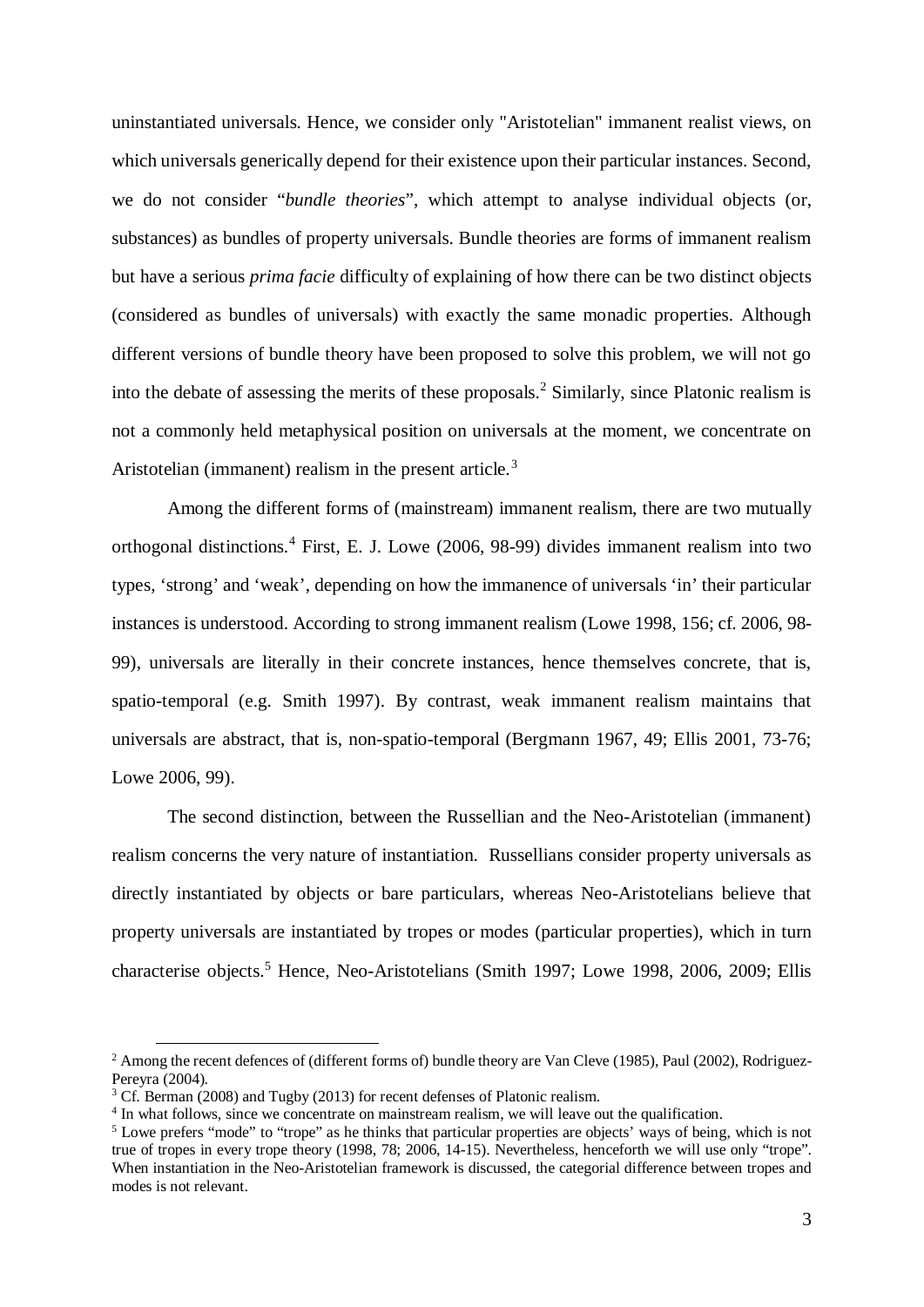uninstantiated universals. Hence, we consider only "Aristotelian" immanent realist views, on which universals generically depend for their existence upon their particular instances. Second, we do not consider "*bundle theories*", which attempt to analyse individual objects (or, substances) as bundles of property universals. Bundle theories are forms of immanent realism but have a serious *prima facie* difficulty of explaining of how there can be two distinct objects (considered as bundles of universals) with exactly the same monadic properties. Although different versions of bundle theory have been proposed to solve this problem, we will not go into the debate of assessing the merits of these proposals.<sup>2</sup> Similarly, since Platonic realism is not a commonly held metaphysical position on universals at the moment, we concentrate on Aristotelian (immanent) realism in the present article.<sup>3</sup>

Among the different forms of (mainstream) immanent realism, there are two mutually orthogonal distinctions.<sup>4</sup> First, E. J. Lowe (2006, 98-99) divides immanent realism into two types, 'strong' and 'weak', depending on how the immanence of universals 'in' their particular instances is understood. According to strong immanent realism (Lowe 1998, 156; cf. 2006, 98- 99), universals are literally in their concrete instances, hence themselves concrete, that is, spatio-temporal (e.g. Smith 1997). By contrast, weak immanent realism maintains that universals are abstract, that is, non-spatio-temporal (Bergmann 1967, 49; Ellis 2001, 73-76; Lowe 2006, 99).

The second distinction, between the Russellian and the Neo-Aristotelian (immanent) realism concerns the very nature of instantiation. Russellians consider property universals as directly instantiated by objects or bare particulars, whereas Neo-Aristotelians believe that property universals are instantiated by tropes or modes (particular properties), which in turn characterise objects.<sup>5</sup> Hence, Neo-Aristotelians (Smith 1997; Lowe 1998, 2006, 2009; Ellis

<sup>&</sup>lt;sup>2</sup> Among the recent defences of (different forms of) bundle theory are Van Cleve (1985), Paul (2002), Rodriguez-Pereyra (2004).

<sup>&</sup>lt;sup>3</sup> Cf. Berman (2008) and Tugby (2013) for recent defenses of Platonic realism.

<sup>&</sup>lt;sup>4</sup> In what follows, since we concentrate on mainstream realism, we will leave out the qualification.

<sup>&</sup>lt;sup>5</sup> Lowe prefers "mode" to "trope" as he thinks that particular properties are objects' ways of being, which is not true of tropes in every trope theory (1998, 78; 2006, 14-15). Nevertheless, henceforth we will use only "trope". When instantiation in the Neo-Aristotelian framework is discussed, the categorial difference between tropes and modes is not relevant.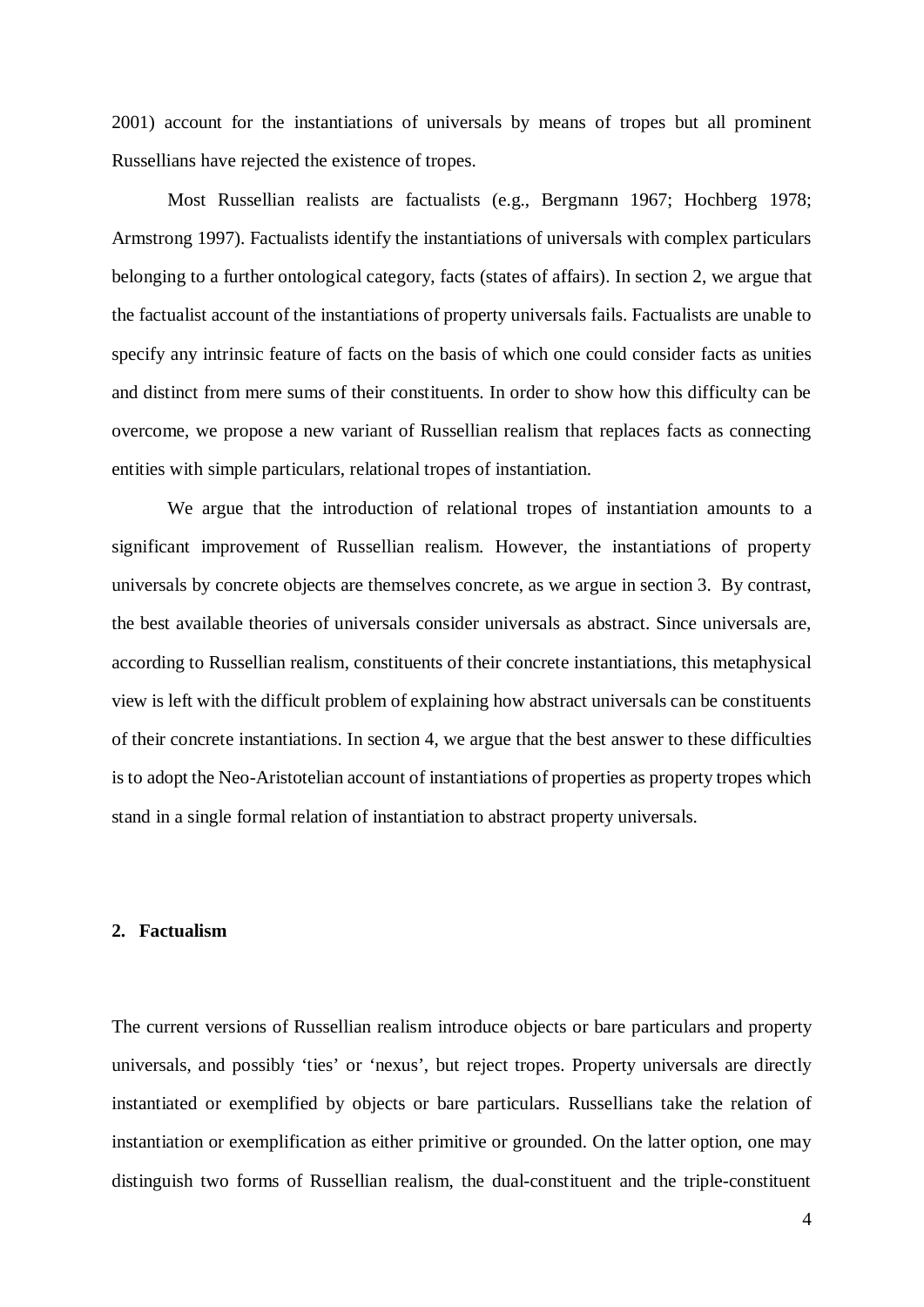2001) account for the instantiations of universals by means of tropes but all prominent Russellians have rejected the existence of tropes.

Most Russellian realists are factualists (e.g., Bergmann 1967; Hochberg 1978; Armstrong 1997). Factualists identify the instantiations of universals with complex particulars belonging to a further ontological category, facts (states of affairs). In section 2, we argue that the factualist account of the instantiations of property universals fails. Factualists are unable to specify any intrinsic feature of facts on the basis of which one could consider facts as unities and distinct from mere sums of their constituents. In order to show how this difficulty can be overcome, we propose a new variant of Russellian realism that replaces facts as connecting entities with simple particulars, relational tropes of instantiation.

We argue that the introduction of relational tropes of instantiation amounts to a significant improvement of Russellian realism. However, the instantiations of property universals by concrete objects are themselves concrete, as we argue in section 3. By contrast, the best available theories of universals consider universals as abstract. Since universals are, according to Russellian realism, constituents of their concrete instantiations, this metaphysical view is left with the difficult problem of explaining how abstract universals can be constituents of their concrete instantiations. In section 4, we argue that the best answer to these difficulties is to adopt the Neo-Aristotelian account of instantiations of properties as property tropes which stand in a single formal relation of instantiation to abstract property universals.

# **2. Factualism**

The current versions of Russellian realism introduce objects or bare particulars and property universals, and possibly 'ties' or 'nexus', but reject tropes. Property universals are directly instantiated or exemplified by objects or bare particulars. Russellians take the relation of instantiation or exemplification as either primitive or grounded. On the latter option, one may distinguish two forms of Russellian realism, the dual-constituent and the triple-constituent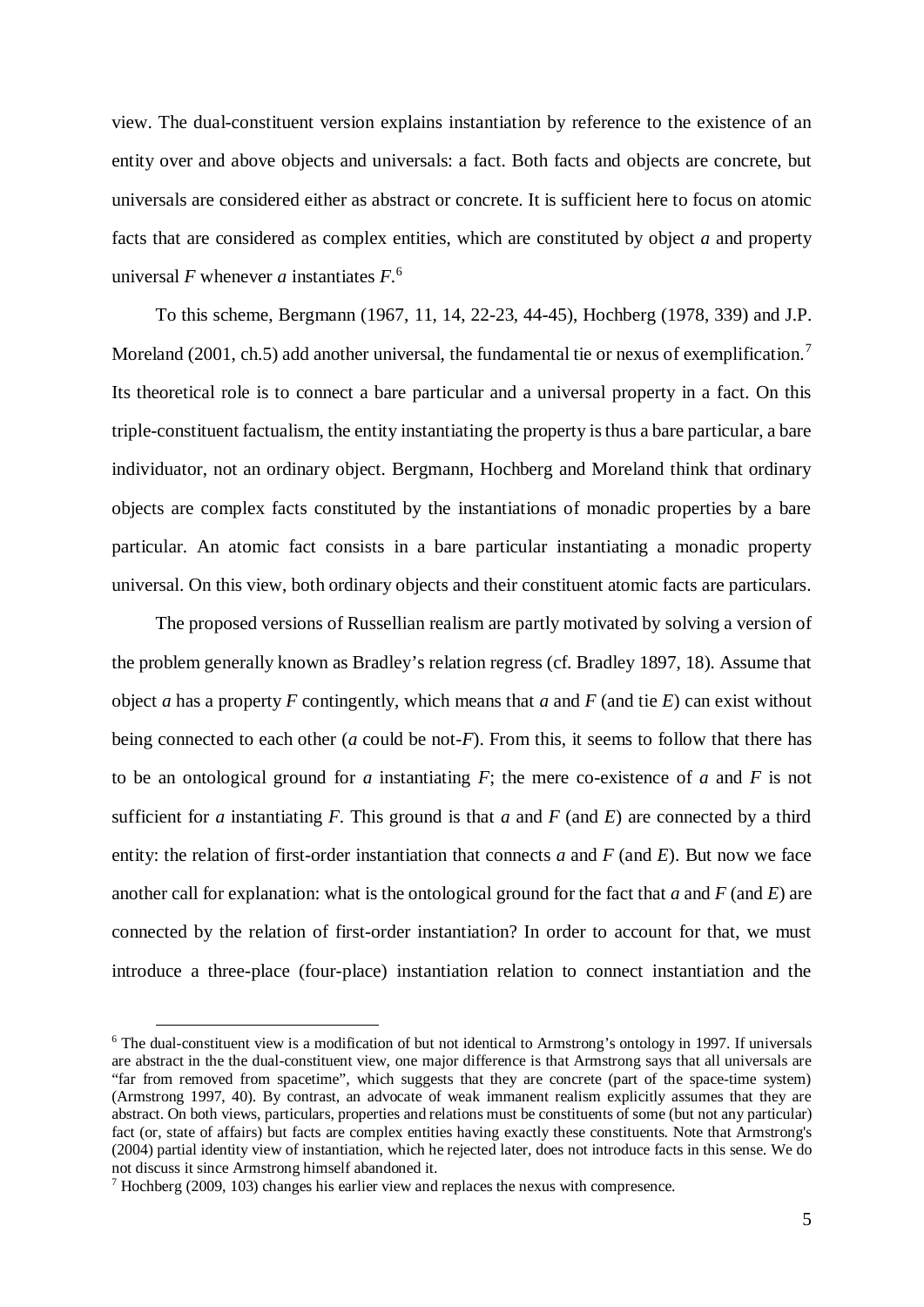view. The dual-constituent version explains instantiation by reference to the existence of an entity over and above objects and universals: a fact. Both facts and objects are concrete, but universals are considered either as abstract or concrete. It is sufficient here to focus on atomic facts that are considered as complex entities, which are constituted by object *a* and property universal  $F$  whenever  $a$  instantiates  $F$ <sup>6</sup>

To this scheme, Bergmann (1967, 11, 14, 22-23, 44-45), Hochberg (1978, 339) and J.P. Moreland (2001, ch.5) add another universal, the fundamental tie or nexus of exemplification.<sup>7</sup> Its theoretical role is to connect a bare particular and a universal property in a fact. On this triple-constituent factualism, the entity instantiating the property is thus a bare particular, a bare individuator, not an ordinary object. Bergmann, Hochberg and Moreland think that ordinary objects are complex facts constituted by the instantiations of monadic properties by a bare particular. An atomic fact consists in a bare particular instantiating a monadic property universal. On this view, both ordinary objects and their constituent atomic facts are particulars.

The proposed versions of Russellian realism are partly motivated by solving a version of the problem generally known as Bradley's relation regress (cf. Bradley 1897, 18). Assume that object *a* has a property *F* contingently, which means that *a* and *F* (and tie *E*) can exist without being connected to each other (*a* could be not-*F*). From this, it seems to follow that there has to be an ontological ground for *a* instantiating *F*; the mere co-existence of *a* and *F* is not sufficient for *a* instantiating *F*. This ground is that *a* and *F* (and *E*) are connected by a third entity: the relation of first-order instantiation that connects *a* and *F* (and *E*). But now we face another call for explanation: what is the ontological ground for the fact that *a* and *F* (and *E*) are connected by the relation of first-order instantiation? In order to account for that, we must introduce a three-place (four-place) instantiation relation to connect instantiation and the

<sup>&</sup>lt;sup>6</sup> The dual-constituent view is a modification of but not identical to Armstrong's ontology in 1997. If universals are abstract in the the dual-constituent view, one major difference is that Armstrong says that all universals are "far from removed from spacetime", which suggests that they are concrete (part of the space-time system) (Armstrong 1997, 40). By contrast, an advocate of weak immanent realism explicitly assumes that they are abstract. On both views, particulars, properties and relations must be constituents of some (but not any particular) fact (or, state of affairs) but facts are complex entities having exactly these constituents. Note that Armstrong's (2004) partial identity view of instantiation, which he rejected later, does not introduce facts in this sense. We do not discuss it since Armstrong himself abandoned it.

 $<sup>7</sup>$  Hochberg (2009, 103) changes his earlier view and replaces the nexus with compresence.</sup>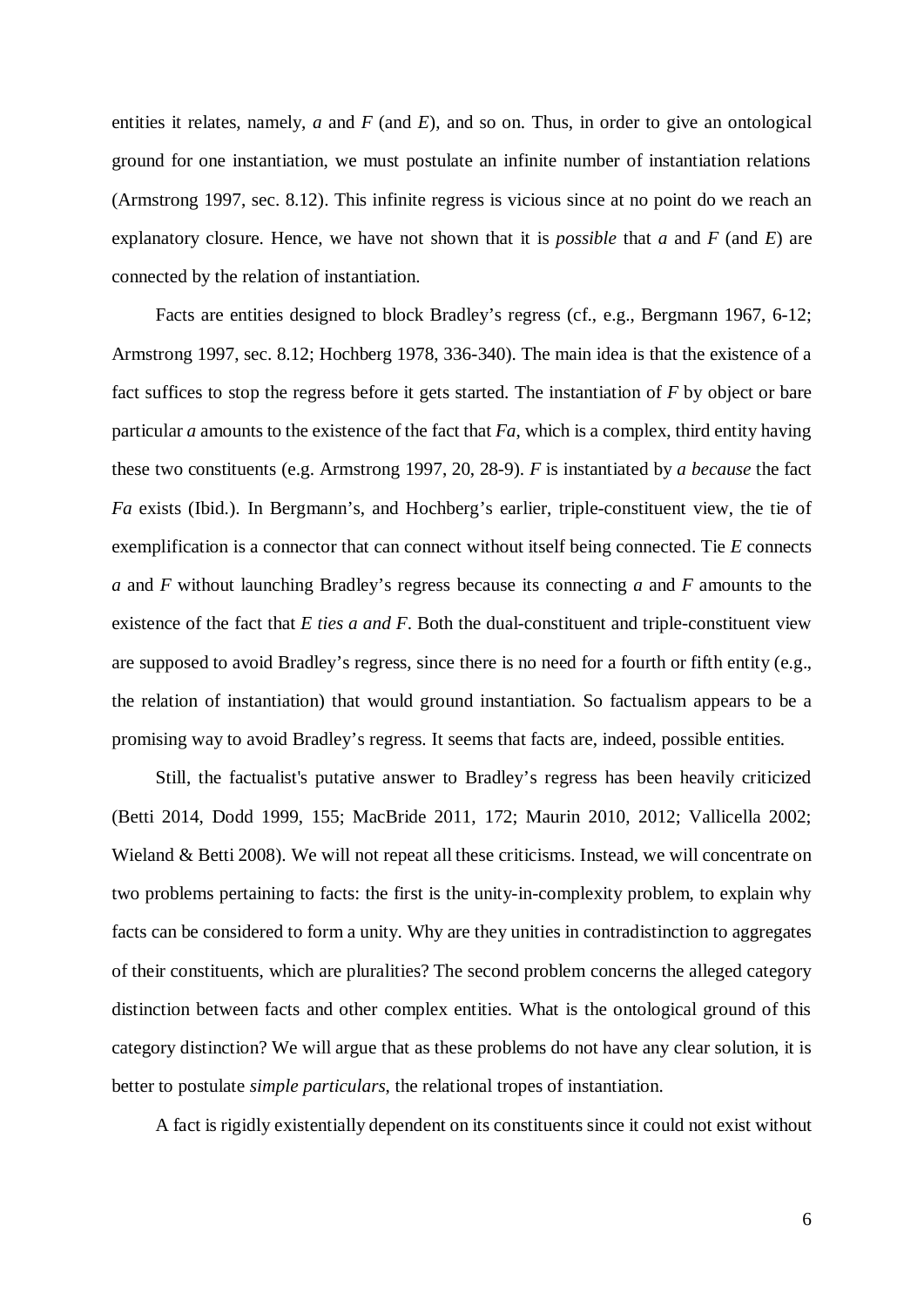entities it relates, namely, *a* and *F* (and *E*), and so on. Thus, in order to give an ontological ground for one instantiation, we must postulate an infinite number of instantiation relations (Armstrong 1997, sec. 8.12). This infinite regress is vicious since at no point do we reach an explanatory closure. Hence, we have not shown that it is *possible* that *a* and *F* (and *E*) are connected by the relation of instantiation.

Facts are entities designed to block Bradley's regress (cf., e.g., Bergmann 1967, 6-12; Armstrong 1997, sec. 8.12; Hochberg 1978, 336-340). The main idea is that the existence of a fact suffices to stop the regress before it gets started. The instantiation of *F* by object or bare particular *a* amounts to the existence of the fact that *Fa*, which is a complex, third entity having these two constituents (e.g. Armstrong 1997, 20, 28-9). *F* is instantiated by *a because* the fact *Fa* exists (Ibid.). In Bergmann's, and Hochberg's earlier, triple-constituent view, the tie of exemplification is a connector that can connect without itself being connected. Tie *E* connects *a* and *F* without launching Bradley's regress because its connecting *a* and *F* amounts to the existence of the fact that *E ties a and F*. Both the dual-constituent and triple-constituent view are supposed to avoid Bradley's regress, since there is no need for a fourth or fifth entity (e.g., the relation of instantiation) that would ground instantiation. So factualism appears to be a promising way to avoid Bradley's regress. It seems that facts are, indeed, possible entities.

Still, the factualist's putative answer to Bradley's regress has been heavily criticized (Betti 2014, Dodd 1999, 155; MacBride 2011, 172; Maurin 2010, 2012; Vallicella 2002; Wieland & Betti 2008). We will not repeat all these criticisms. Instead, we will concentrate on two problems pertaining to facts: the first is the unity-in-complexity problem, to explain why facts can be considered to form a unity. Why are they unities in contradistinction to aggregates of their constituents, which are pluralities? The second problem concerns the alleged category distinction between facts and other complex entities. What is the ontological ground of this category distinction? We will argue that as these problems do not have any clear solution, it is better to postulate *simple particulars*, the relational tropes of instantiation.

A fact is rigidly existentially dependent on its constituents since it could not exist without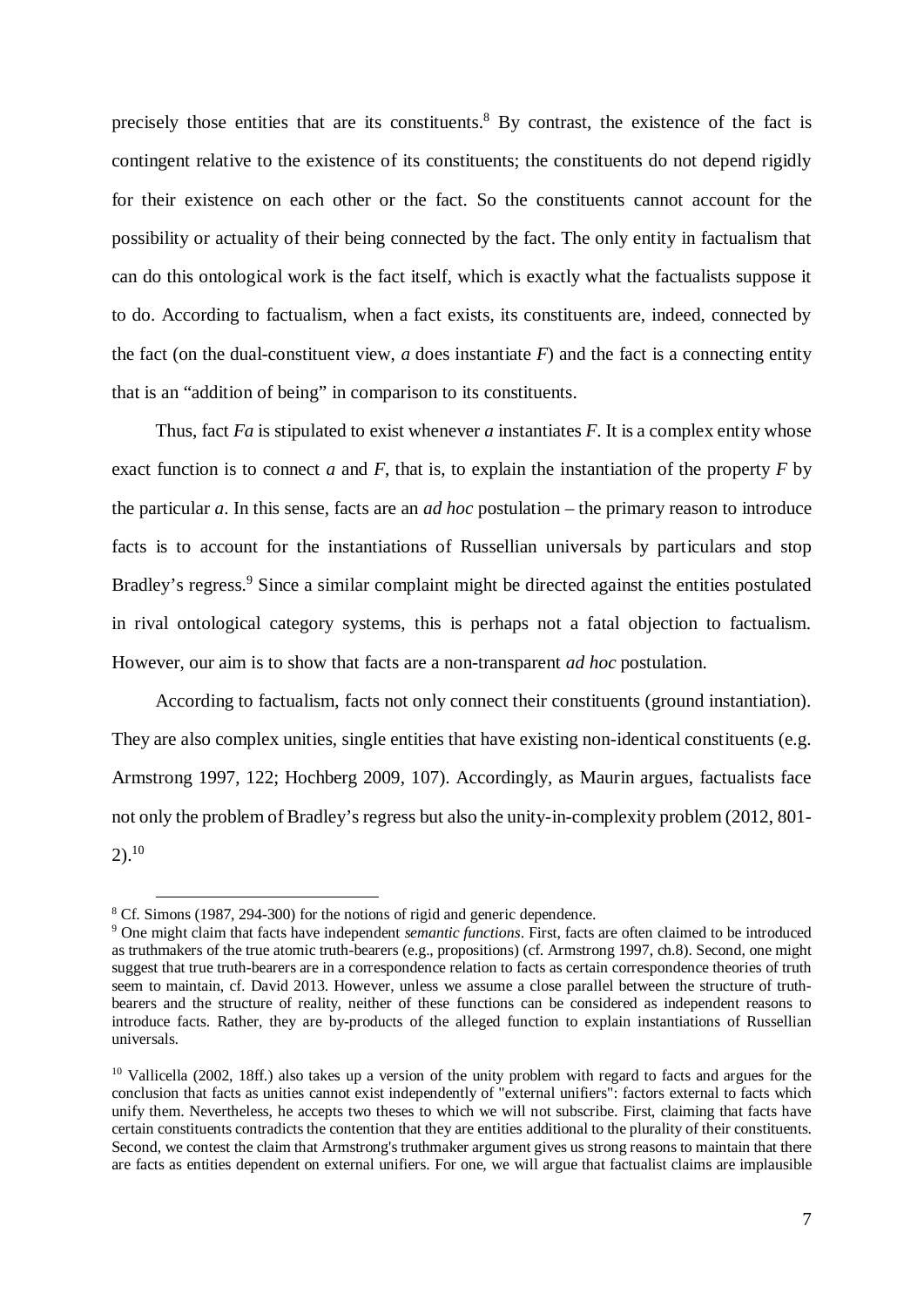precisely those entities that are its constituents.<sup>8</sup> By contrast, the existence of the fact is contingent relative to the existence of its constituents; the constituents do not depend rigidly for their existence on each other or the fact. So the constituents cannot account for the possibility or actuality of their being connected by the fact. The only entity in factualism that can do this ontological work is the fact itself, which is exactly what the factualists suppose it to do. According to factualism, when a fact exists, its constituents are, indeed, connected by the fact (on the dual-constituent view,  $a$  does instantiate  $F$ ) and the fact is a connecting entity that is an "addition of being" in comparison to its constituents.

Thus, fact *Fa* is stipulated to exist whenever *a* instantiates *F*. It is a complex entity whose exact function is to connect *a* and *F*, that is, to explain the instantiation of the property *F* by the particular *a*. In this sense, facts are an *ad hoc* postulation – the primary reason to introduce facts is to account for the instantiations of Russellian universals by particulars and stop Bradley's regress.<sup>9</sup> Since a similar complaint might be directed against the entities postulated in rival ontological category systems, this is perhaps not a fatal objection to factualism. However, our aim is to show that facts are a non-transparent *ad hoc* postulation.

According to factualism, facts not only connect their constituents (ground instantiation). They are also complex unities, single entities that have existing non-identical constituents (e.g. Armstrong 1997, 122; Hochberg 2009, 107). Accordingly, as Maurin argues, factualists face not only the problem of Bradley's regress but also the unity-in-complexity problem (2012, 801-  $2).^{10}$ 

<sup>&</sup>lt;sup>8</sup> Cf. Simons (1987, 294-300) for the notions of rigid and generic dependence.

<sup>9</sup> One might claim that facts have independent *semantic functions*. First, facts are often claimed to be introduced as truthmakers of the true atomic truth-bearers (e.g., propositions) (cf. Armstrong 1997, ch.8). Second, one might suggest that true truth-bearers are in a correspondence relation to facts as certain correspondence theories of truth seem to maintain, cf. David 2013. However, unless we assume a close parallel between the structure of truthbearers and the structure of reality, neither of these functions can be considered as independent reasons to introduce facts. Rather, they are by-products of the alleged function to explain instantiations of Russellian universals.

<sup>&</sup>lt;sup>10</sup> Vallicella (2002, 18ff.) also takes up a version of the unity problem with regard to facts and argues for the conclusion that facts as unities cannot exist independently of "external unifiers": factors external to facts which unify them. Nevertheless, he accepts two theses to which we will not subscribe. First, claiming that facts have certain constituents contradicts the contention that they are entities additional to the plurality of their constituents. Second, we contest the claim that Armstrong's truthmaker argument gives us strong reasons to maintain that there are facts as entities dependent on external unifiers. For one, we will argue that factualist claims are implausible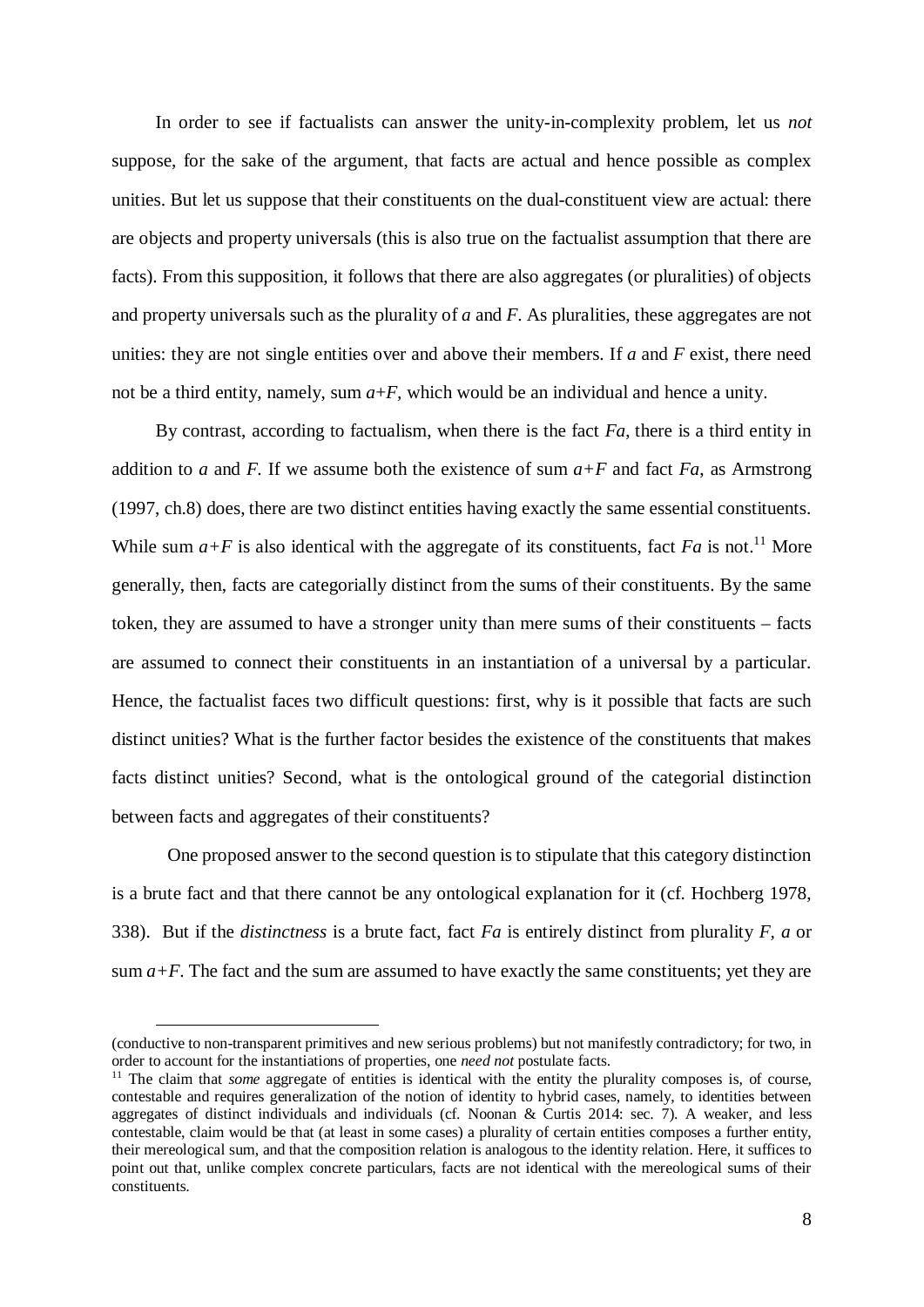In order to see if factualists can answer the unity-in-complexity problem, let us *not* suppose, for the sake of the argument, that facts are actual and hence possible as complex unities. But let us suppose that their constituents on the dual-constituent view are actual: there are objects and property universals (this is also true on the factualist assumption that there are facts). From this supposition, it follows that there are also aggregates (or pluralities) of objects and property universals such as the plurality of *a* and *F*. As pluralities, these aggregates are not unities: they are not single entities over and above their members. If *a* and *F* exist, there need not be a third entity, namely, sum  $a + F$ , which would be an individual and hence a unity.

By contrast, according to factualism, when there is the fact *Fa*, there is a third entity in addition to *a* and *F*. If we assume both the existence of sum  $a + F$  and fact *Fa*, as Armstrong (1997, ch.8) does, there are two distinct entities having exactly the same essential constituents. While sum  $a + F$  is also identical with the aggregate of its constituents, fact *Fa* is not.<sup>11</sup> More generally, then, facts are categorially distinct from the sums of their constituents. By the same token, they are assumed to have a stronger unity than mere sums of their constituents – facts are assumed to connect their constituents in an instantiation of a universal by a particular. Hence, the factualist faces two difficult questions: first, why is it possible that facts are such distinct unities? What is the further factor besides the existence of the constituents that makes facts distinct unities? Second, what is the ontological ground of the categorial distinction between facts and aggregates of their constituents?

One proposed answer to the second question is to stipulate that this category distinction is a brute fact and that there cannot be any ontological explanation for it (cf. Hochberg 1978, 338). But if the *distinctness* is a brute fact, fact *Fa* is entirely distinct from plurality *F, a* or sum  $a + F$ . The fact and the sum are assumed to have exactly the same constituents; yet they are

<sup>(</sup>conductive to non-transparent primitives and new serious problems) but not manifestly contradictory; for two, in order to account for the instantiations of properties, one *need not* postulate facts.

<sup>&</sup>lt;sup>11</sup> The claim that *some* aggregate of entities is identical with the entity the plurality composes is, of course, contestable and requires generalization of the notion of identity to hybrid cases, namely, to identities between aggregates of distinct individuals and individuals (cf. Noonan & Curtis 2014: sec. 7). A weaker, and less contestable, claim would be that (at least in some cases) a plurality of certain entities composes a further entity, their mereological sum, and that the composition relation is analogous to the identity relation. Here, it suffices to point out that, unlike complex concrete particulars, facts are not identical with the mereological sums of their constituents.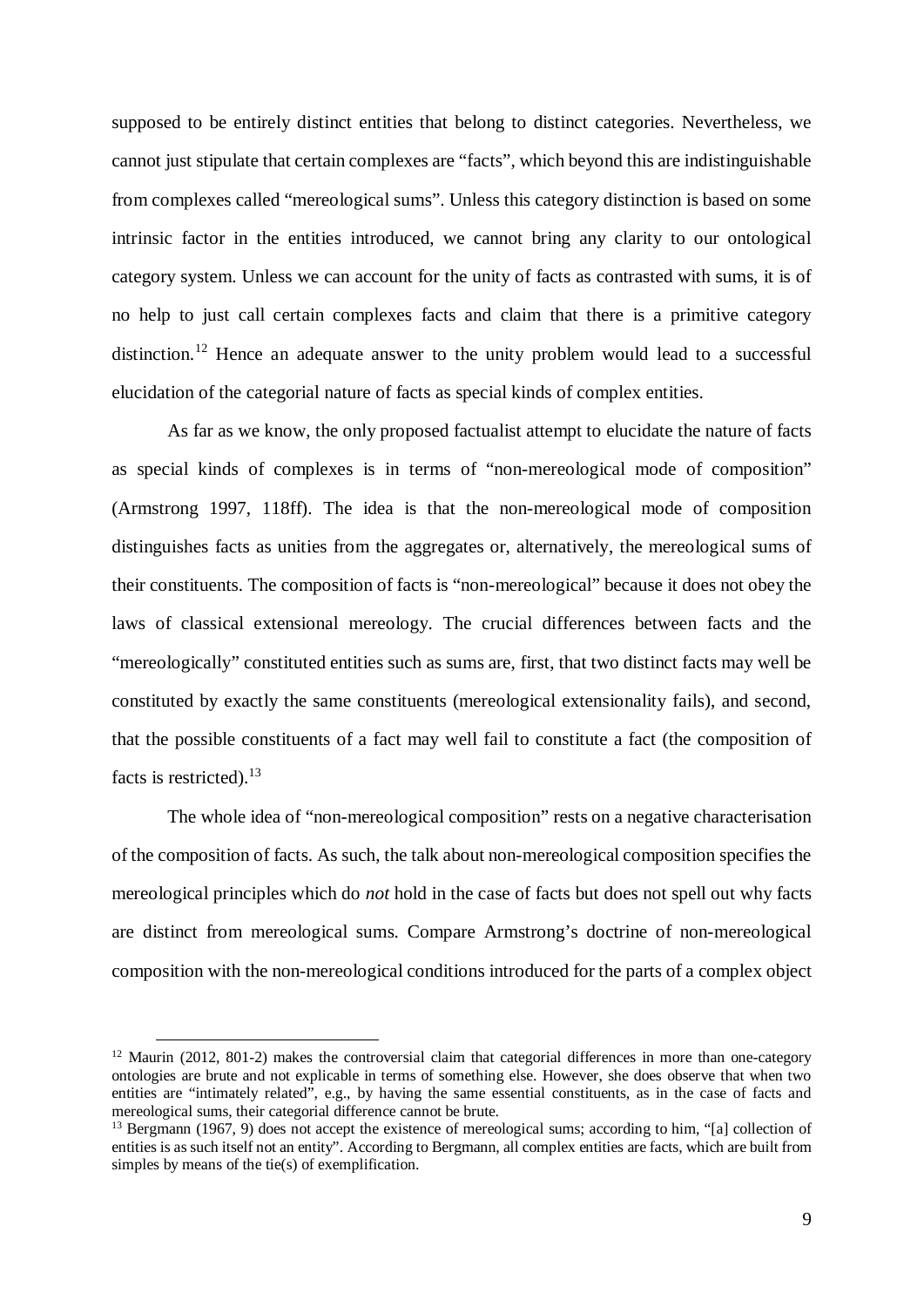supposed to be entirely distinct entities that belong to distinct categories. Nevertheless, we cannot just stipulate that certain complexes are "facts", which beyond this are indistinguishable from complexes called "mereological sums". Unless this category distinction is based on some intrinsic factor in the entities introduced, we cannot bring any clarity to our ontological category system. Unless we can account for the unity of facts as contrasted with sums, it is of no help to just call certain complexes facts and claim that there is a primitive category distinction.<sup>12</sup> Hence an adequate answer to the unity problem would lead to a successful elucidation of the categorial nature of facts as special kinds of complex entities.

As far as we know, the only proposed factualist attempt to elucidate the nature of facts as special kinds of complexes is in terms of "non-mereological mode of composition" (Armstrong 1997, 118ff). The idea is that the non-mereological mode of composition distinguishes facts as unities from the aggregates or, alternatively, the mereological sums of their constituents. The composition of facts is "non-mereological" because it does not obey the laws of classical extensional mereology. The crucial differences between facts and the "mereologically" constituted entities such as sums are, first, that two distinct facts may well be constituted by exactly the same constituents (mereological extensionality fails), and second, that the possible constituents of a fact may well fail to constitute a fact (the composition of facts is restricted).<sup>13</sup>

The whole idea of "non-mereological composition" rests on a negative characterisation of the composition of facts. As such, the talk about non-mereological composition specifies the mereological principles which do *not* hold in the case of facts but does not spell out why facts are distinct from mereological sums. Compare Armstrong's doctrine of non-mereological composition with the non-mereological conditions introduced for the parts of a complex object

<sup>&</sup>lt;sup>12</sup> Maurin (2012, 801-2) makes the controversial claim that categorial differences in more than one-category ontologies are brute and not explicable in terms of something else. However, she does observe that when two entities are "intimately related", e.g., by having the same essential constituents, as in the case of facts and mereological sums, their categorial difference cannot be brute.

<sup>&</sup>lt;sup>13</sup> Bergmann (1967, 9) does not accept the existence of mereological sums; according to him, "[a] collection of entities is as such itself not an entity". According to Bergmann, all complex entities are facts, which are built from simples by means of the tie(s) of exemplification.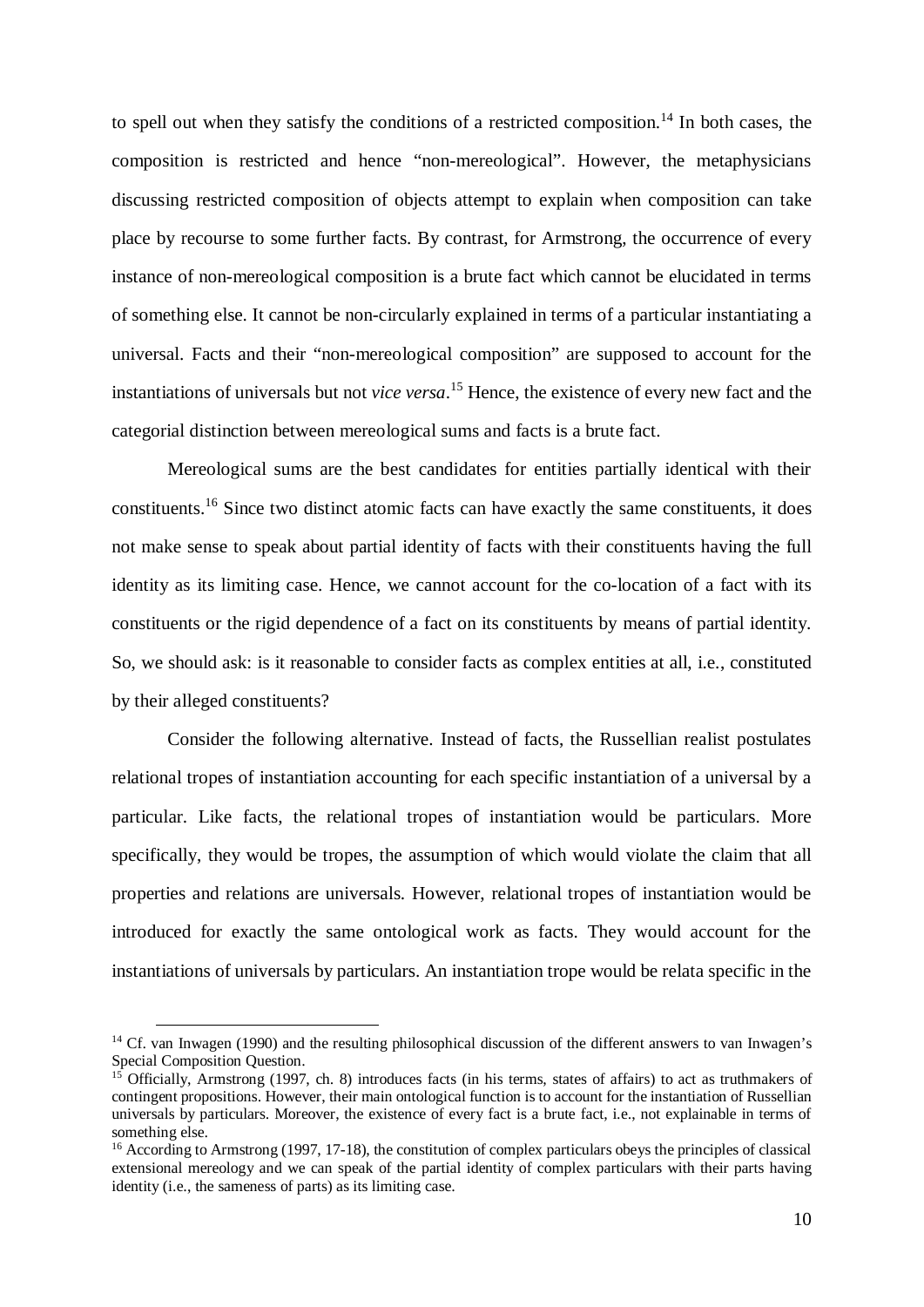to spell out when they satisfy the conditions of a restricted composition.<sup>14</sup> In both cases, the composition is restricted and hence "non-mereological". However, the metaphysicians discussing restricted composition of objects attempt to explain when composition can take place by recourse to some further facts. By contrast, for Armstrong, the occurrence of every instance of non-mereological composition is a brute fact which cannot be elucidated in terms of something else. It cannot be non-circularly explained in terms of a particular instantiating a universal. Facts and their "non-mereological composition" are supposed to account for the instantiations of universals but not *vice versa*. <sup>15</sup> Hence, the existence of every new fact and the categorial distinction between mereological sums and facts is a brute fact.

Mereological sums are the best candidates for entities partially identical with their constituents.<sup>16</sup> Since two distinct atomic facts can have exactly the same constituents, it does not make sense to speak about partial identity of facts with their constituents having the full identity as its limiting case. Hence, we cannot account for the co-location of a fact with its constituents or the rigid dependence of a fact on its constituents by means of partial identity. So, we should ask: is it reasonable to consider facts as complex entities at all, i.e., constituted by their alleged constituents?

Consider the following alternative. Instead of facts, the Russellian realist postulates relational tropes of instantiation accounting for each specific instantiation of a universal by a particular. Like facts, the relational tropes of instantiation would be particulars. More specifically, they would be tropes, the assumption of which would violate the claim that all properties and relations are universals. However, relational tropes of instantiation would be introduced for exactly the same ontological work as facts. They would account for the instantiations of universals by particulars. An instantiation trope would be relata specific in the

<sup>&</sup>lt;sup>14</sup> Cf. van Inwagen (1990) and the resulting philosophical discussion of the different answers to van Inwagen's Special Composition Question.

<sup>&</sup>lt;sup>15</sup> Officially, Armstrong (1997, ch. 8) introduces facts (in his terms, states of affairs) to act as truthmakers of contingent propositions. However, their main ontological function is to account for the instantiation of Russellian universals by particulars. Moreover, the existence of every fact is a brute fact, i.e., not explainable in terms of something else.

<sup>&</sup>lt;sup>16</sup> According to Armstrong (1997, 17-18), the constitution of complex particulars obeys the principles of classical extensional mereology and we can speak of the partial identity of complex particulars with their parts having identity (i.e., the sameness of parts) as its limiting case.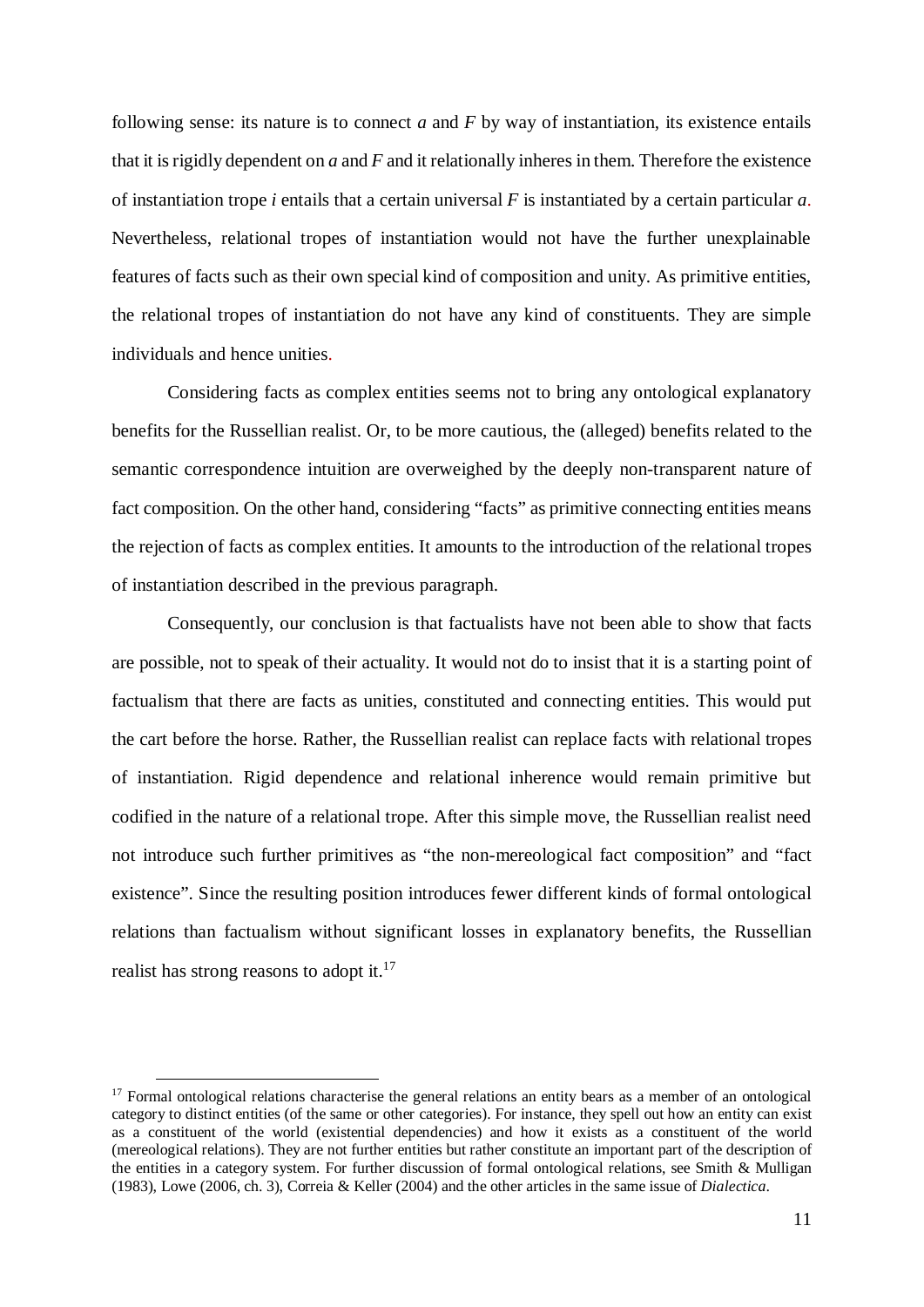following sense: its nature is to connect *a* and *F* by way of instantiation, its existence entails that it is rigidly dependent on *a* and *F* and it relationally inheres in them. Therefore the existence of instantiation trope *i* entails that a certain universal *F* is instantiated by a certain particular *a*. Nevertheless, relational tropes of instantiation would not have the further unexplainable features of facts such as their own special kind of composition and unity. As primitive entities, the relational tropes of instantiation do not have any kind of constituents. They are simple individuals and hence unities.

Considering facts as complex entities seems not to bring any ontological explanatory benefits for the Russellian realist. Or, to be more cautious, the (alleged) benefits related to the semantic correspondence intuition are overweighed by the deeply non-transparent nature of fact composition. On the other hand, considering "facts" as primitive connecting entities means the rejection of facts as complex entities. It amounts to the introduction of the relational tropes of instantiation described in the previous paragraph.

Consequently, our conclusion is that factualists have not been able to show that facts are possible, not to speak of their actuality. It would not do to insist that it is a starting point of factualism that there are facts as unities, constituted and connecting entities. This would put the cart before the horse. Rather, the Russellian realist can replace facts with relational tropes of instantiation. Rigid dependence and relational inherence would remain primitive but codified in the nature of a relational trope. After this simple move, the Russellian realist need not introduce such further primitives as "the non-mereological fact composition" and "fact existence". Since the resulting position introduces fewer different kinds of formal ontological relations than factualism without significant losses in explanatory benefits, the Russellian realist has strong reasons to adopt it.<sup>17</sup>

<sup>&</sup>lt;sup>17</sup> Formal ontological relations characterise the general relations an entity bears as a member of an ontological category to distinct entities (of the same or other categories). For instance, they spell out how an entity can exist as a constituent of the world (existential dependencies) and how it exists as a constituent of the world (mereological relations). They are not further entities but rather constitute an important part of the description of the entities in a category system. For further discussion of formal ontological relations, see Smith & Mulligan (1983), Lowe (2006, ch. 3), Correia & Keller (2004) and the other articles in the same issue of *Dialectica*.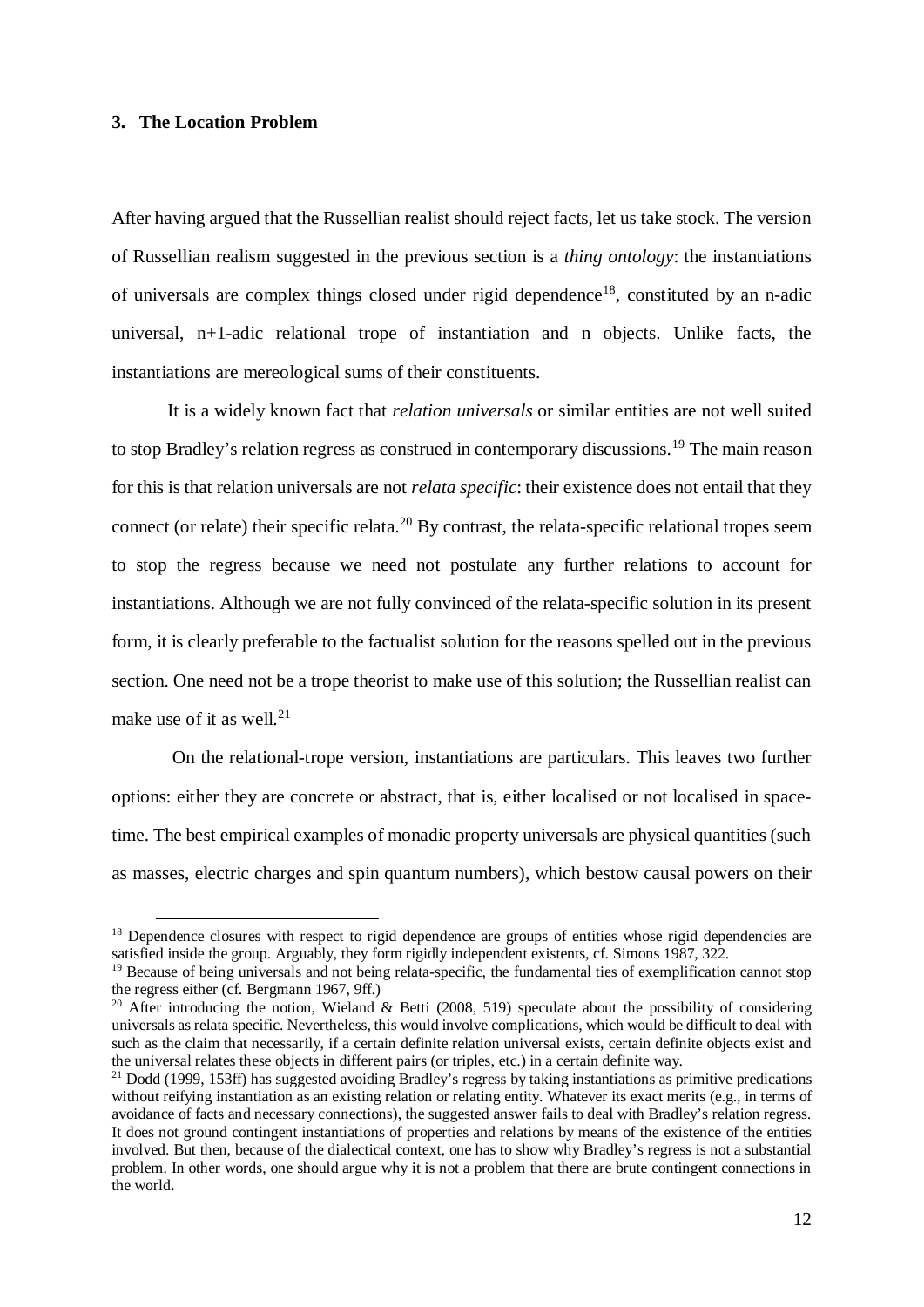## **3. The Location Problem**

 $\overline{a}$ 

After having argued that the Russellian realist should reject facts, let us take stock. The version of Russellian realism suggested in the previous section is a *thing ontology*: the instantiations of universals are complex things closed under rigid dependence<sup>18</sup>, constituted by an n-adic universal, n+1-adic relational trope of instantiation and n objects. Unlike facts, the instantiations are mereological sums of their constituents.

It is a widely known fact that *relation universals* or similar entities are not well suited to stop Bradley's relation regress as construed in contemporary discussions.<sup>19</sup> The main reason for this is that relation universals are not *relata specific*: their existence does not entail that they connect (or relate) their specific relata.<sup>20</sup> By contrast, the relata-specific relational tropes seem to stop the regress because we need not postulate any further relations to account for instantiations. Although we are not fully convinced of the relata-specific solution in its present form, it is clearly preferable to the factualist solution for the reasons spelled out in the previous section. One need not be a trope theorist to make use of this solution; the Russellian realist can make use of it as well. $^{21}$ 

 On the relational-trope version, instantiations are particulars. This leaves two further options: either they are concrete or abstract, that is, either localised or not localised in spacetime. The best empirical examples of monadic property universals are physical quantities (such as masses, electric charges and spin quantum numbers), which bestow causal powers on their

<sup>&</sup>lt;sup>18</sup> Dependence closures with respect to rigid dependence are groups of entities whose rigid dependencies are satisfied inside the group. Arguably, they form rigidly independent existents, cf. Simons 1987, 322.

<sup>&</sup>lt;sup>19</sup> Because of being universals and not being relata-specific, the fundamental ties of exemplification cannot stop the regress either (cf. Bergmann 1967, 9ff.)

<sup>&</sup>lt;sup>20</sup> After introducing the notion, Wieland & Betti (2008, 519) speculate about the possibility of considering universals as relata specific. Nevertheless, this would involve complications, which would be difficult to deal with such as the claim that necessarily, if a certain definite relation universal exists, certain definite objects exist and the universal relates these objects in different pairs (or triples, etc.) in a certain definite way.

 $^{21}$  Dodd (1999, 153ff) has suggested avoiding Bradley's regress by taking instantiations as primitive predications without reifying instantiation as an existing relation or relating entity. Whatever its exact merits (e.g., in terms of avoidance of facts and necessary connections), the suggested answer fails to deal with Bradley's relation regress. It does not ground contingent instantiations of properties and relations by means of the existence of the entities involved. But then, because of the dialectical context, one has to show why Bradley's regress is not a substantial problem. In other words, one should argue why it is not a problem that there are brute contingent connections in the world.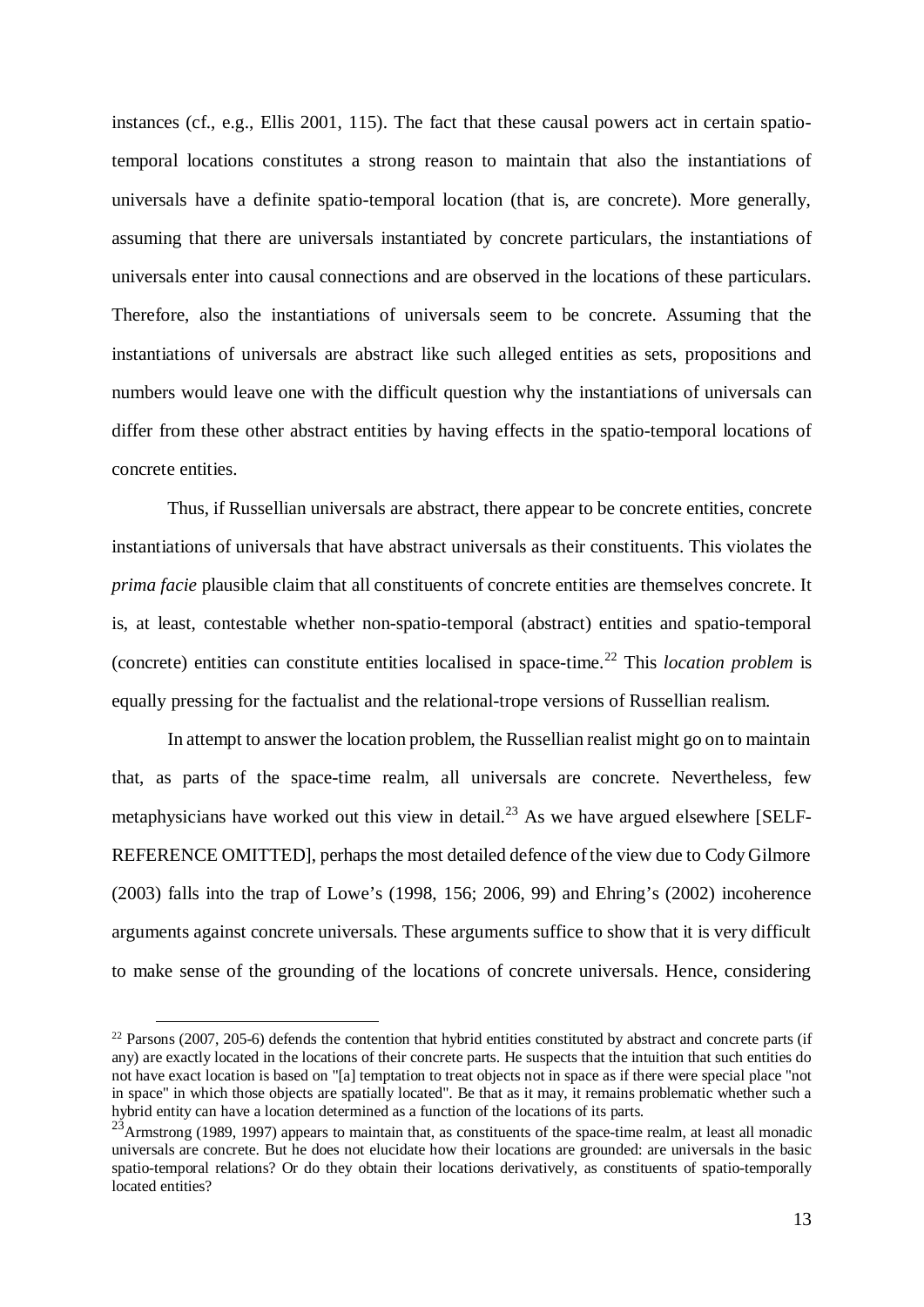instances (cf., e.g., Ellis 2001, 115). The fact that these causal powers act in certain spatiotemporal locations constitutes a strong reason to maintain that also the instantiations of universals have a definite spatio-temporal location (that is, are concrete). More generally, assuming that there are universals instantiated by concrete particulars, the instantiations of universals enter into causal connections and are observed in the locations of these particulars. Therefore, also the instantiations of universals seem to be concrete. Assuming that the instantiations of universals are abstract like such alleged entities as sets, propositions and numbers would leave one with the difficult question why the instantiations of universals can differ from these other abstract entities by having effects in the spatio-temporal locations of concrete entities.

Thus, if Russellian universals are abstract, there appear to be concrete entities, concrete instantiations of universals that have abstract universals as their constituents. This violates the *prima facie* plausible claim that all constituents of concrete entities are themselves concrete. It is, at least, contestable whether non-spatio-temporal (abstract) entities and spatio-temporal (concrete) entities can constitute entities localised in space-time.<sup>22</sup> This *location problem* is equally pressing for the factualist and the relational-trope versions of Russellian realism.

In attempt to answer the location problem, the Russellian realist might go on to maintain that, as parts of the space-time realm, all universals are concrete. Nevertheless, few metaphysicians have worked out this view in detail.<sup>23</sup> As we have argued elsewhere [SELF- $\overline{\phantom{a}}$ REFERENCE OMITTED], perhaps the most detailed defence of the view due to Cody Gilmore (2003) falls into the trap of Lowe's (1998, 156; 2006, 99) and Ehring's (2002) incoherence arguments against concrete universals. These arguments suffice to show that it is very difficult to make sense of the grounding of the locations of concrete universals. Hence, considering

 $22$  Parsons (2007, 205-6) defends the contention that hybrid entities constituted by abstract and concrete parts (if any) are exactly located in the locations of their concrete parts. He suspects that the intuition that such entities do not have exact location is based on "[a] temptation to treat objects not in space as if there were special place "not in space" in which those objects are spatially located". Be that as it may, it remains problematic whether such a hybrid entity can have a location determined as a function of the locations of its parts.

 $^{23}$ Armstrong (1989, 1997) appears to maintain that, as constituents of the space-time realm, at least all monadic universals are concrete. But he does not elucidate how their locations are grounded: are universals in the basic spatio-temporal relations? Or do they obtain their locations derivatively, as constituents of spatio-temporally located entities?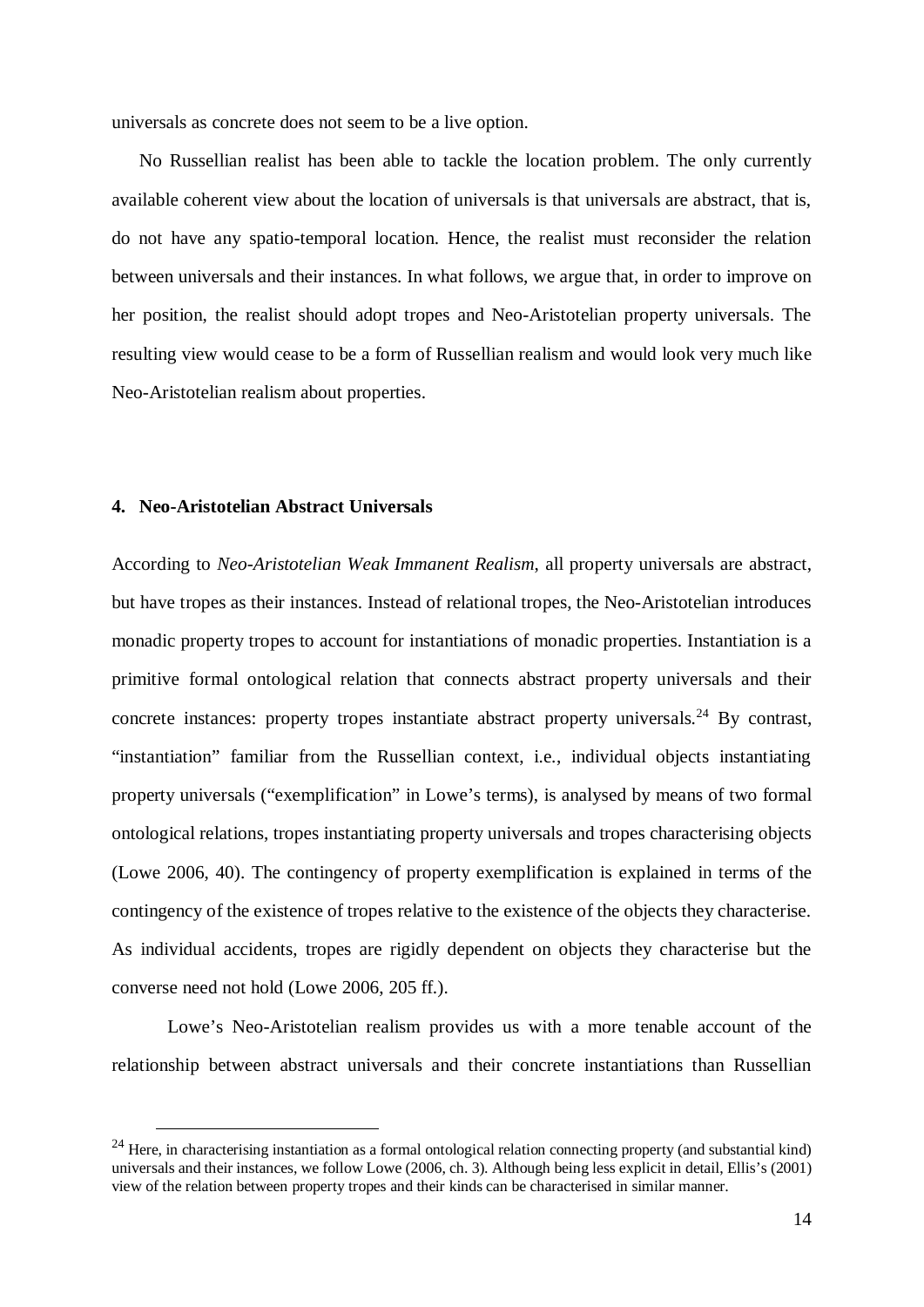universals as concrete does not seem to be a live option.

No Russellian realist has been able to tackle the location problem. The only currently available coherent view about the location of universals is that universals are abstract, that is, do not have any spatio-temporal location. Hence, the realist must reconsider the relation between universals and their instances. In what follows, we argue that, in order to improve on her position, the realist should adopt tropes and Neo-Aristotelian property universals. The resulting view would cease to be a form of Russellian realism and would look very much like Neo-Aristotelian realism about properties.

# **4. Neo-Aristotelian Abstract Universals**

 $\overline{a}$ 

According to *Neo-Aristotelian Weak Immanent Realism*, all property universals are abstract, but have tropes as their instances. Instead of relational tropes, the Neo-Aristotelian introduces monadic property tropes to account for instantiations of monadic properties. Instantiation is a primitive formal ontological relation that connects abstract property universals and their concrete instances: property tropes instantiate abstract property universals.<sup>24</sup> By contrast, "instantiation" familiar from the Russellian context, i.e., individual objects instantiating property universals ("exemplification" in Lowe's terms), is analysed by means of two formal ontological relations, tropes instantiating property universals and tropes characterising objects (Lowe 2006, 40). The contingency of property exemplification is explained in terms of the contingency of the existence of tropes relative to the existence of the objects they characterise. As individual accidents, tropes are rigidly dependent on objects they characterise but the converse need not hold (Lowe 2006, 205 ff.).

Lowe's Neo-Aristotelian realism provides us with a more tenable account of the relationship between abstract universals and their concrete instantiations than Russellian

 $^{24}$  Here, in characterising instantiation as a formal ontological relation connecting property (and substantial kind) universals and their instances, we follow Lowe (2006, ch. 3). Although being less explicit in detail, Ellis's (2001) view of the relation between property tropes and their kinds can be characterised in similar manner.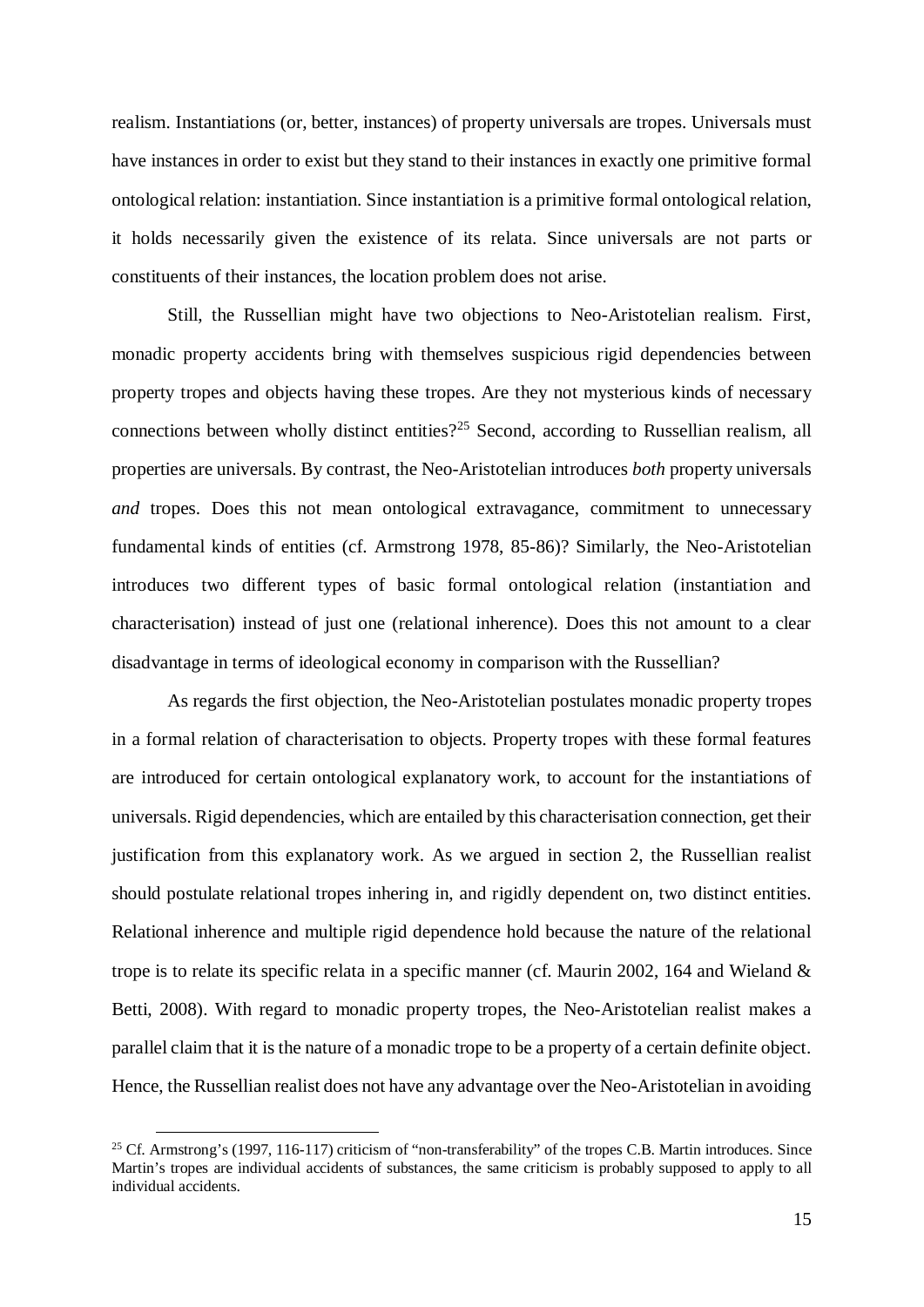realism. Instantiations (or, better, instances) of property universals are tropes. Universals must have instances in order to exist but they stand to their instances in exactly one primitive formal ontological relation: instantiation. Since instantiation is a primitive formal ontological relation, it holds necessarily given the existence of its relata. Since universals are not parts or constituents of their instances, the location problem does not arise.

Still, the Russellian might have two objections to Neo-Aristotelian realism. First, monadic property accidents bring with themselves suspicious rigid dependencies between property tropes and objects having these tropes. Are they not mysterious kinds of necessary connections between wholly distinct entities?<sup>25</sup> Second, according to Russellian realism, all properties are universals. By contrast, the Neo-Aristotelian introduces *both* property universals *and* tropes. Does this not mean ontological extravagance, commitment to unnecessary fundamental kinds of entities (cf. Armstrong 1978, 85-86)? Similarly, the Neo-Aristotelian introduces two different types of basic formal ontological relation (instantiation and characterisation) instead of just one (relational inherence). Does this not amount to a clear disadvantage in terms of ideological economy in comparison with the Russellian?

As regards the first objection, the Neo-Aristotelian postulates monadic property tropes in a formal relation of characterisation to objects. Property tropes with these formal features are introduced for certain ontological explanatory work, to account for the instantiations of universals. Rigid dependencies, which are entailed by this characterisation connection, get their justification from this explanatory work. As we argued in section 2, the Russellian realist should postulate relational tropes inhering in, and rigidly dependent on, two distinct entities. Relational inherence and multiple rigid dependence hold because the nature of the relational trope is to relate its specific relata in a specific manner (cf. Maurin 2002, 164 and Wieland & Betti, 2008). With regard to monadic property tropes, the Neo-Aristotelian realist makes a parallel claim that it is the nature of a monadic trope to be a property of a certain definite object. Hence, the Russellian realist does not have any advantage over the Neo-Aristotelian in avoiding

<sup>&</sup>lt;sup>25</sup> Cf. Armstrong's (1997, 116-117) criticism of "non-transferability" of the tropes C.B. Martin introduces. Since Martin's tropes are individual accidents of substances, the same criticism is probably supposed to apply to all individual accidents.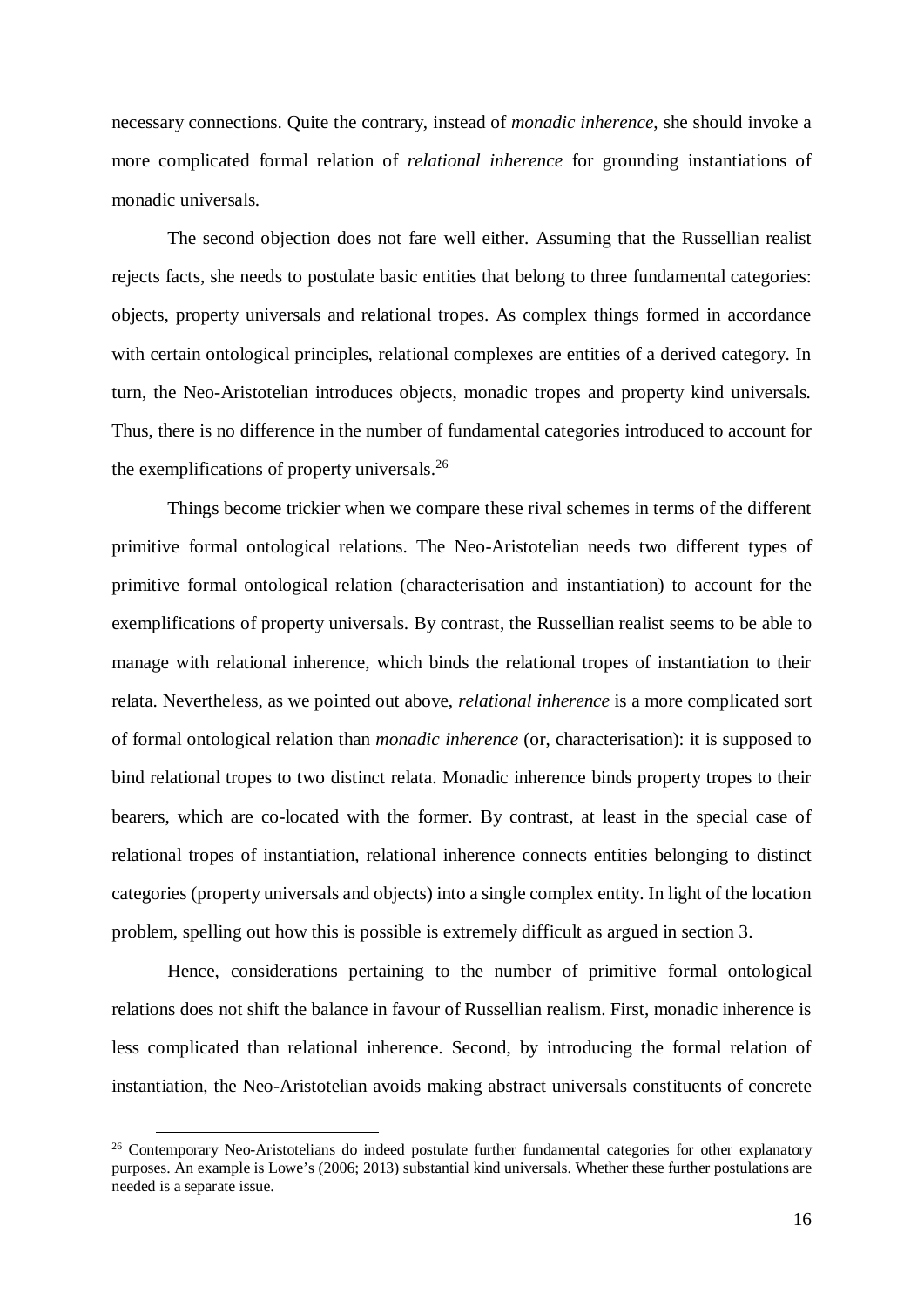necessary connections. Quite the contrary, instead of *monadic inherence*, she should invoke a more complicated formal relation of *relational inherence* for grounding instantiations of monadic universals.

The second objection does not fare well either. Assuming that the Russellian realist rejects facts, she needs to postulate basic entities that belong to three fundamental categories: objects, property universals and relational tropes. As complex things formed in accordance with certain ontological principles, relational complexes are entities of a derived category. In turn, the Neo-Aristotelian introduces objects, monadic tropes and property kind universals*.*  Thus, there is no difference in the number of fundamental categories introduced to account for the exemplifications of property universals.<sup>26</sup>

Things become trickier when we compare these rival schemes in terms of the different primitive formal ontological relations. The Neo-Aristotelian needs two different types of primitive formal ontological relation (characterisation and instantiation) to account for the exemplifications of property universals. By contrast, the Russellian realist seems to be able to manage with relational inherence, which binds the relational tropes of instantiation to their relata. Nevertheless, as we pointed out above, *relational inherence* is a more complicated sort of formal ontological relation than *monadic inherence* (or, characterisation): it is supposed to bind relational tropes to two distinct relata. Monadic inherence binds property tropes to their bearers, which are co-located with the former. By contrast, at least in the special case of relational tropes of instantiation, relational inherence connects entities belonging to distinct categories (property universals and objects) into a single complex entity. In light of the location problem, spelling out how this is possible is extremely difficult as argued in section 3.

Hence, considerations pertaining to the number of primitive formal ontological relations does not shift the balance in favour of Russellian realism. First, monadic inherence is less complicated than relational inherence. Second, by introducing the formal relation of instantiation, the Neo-Aristotelian avoids making abstract universals constituents of concrete

<sup>&</sup>lt;sup>26</sup> Contemporary Neo-Aristotelians do indeed postulate further fundamental categories for other explanatory purposes. An example is Lowe's (2006; 2013) substantial kind universals. Whether these further postulations are needed is a separate issue.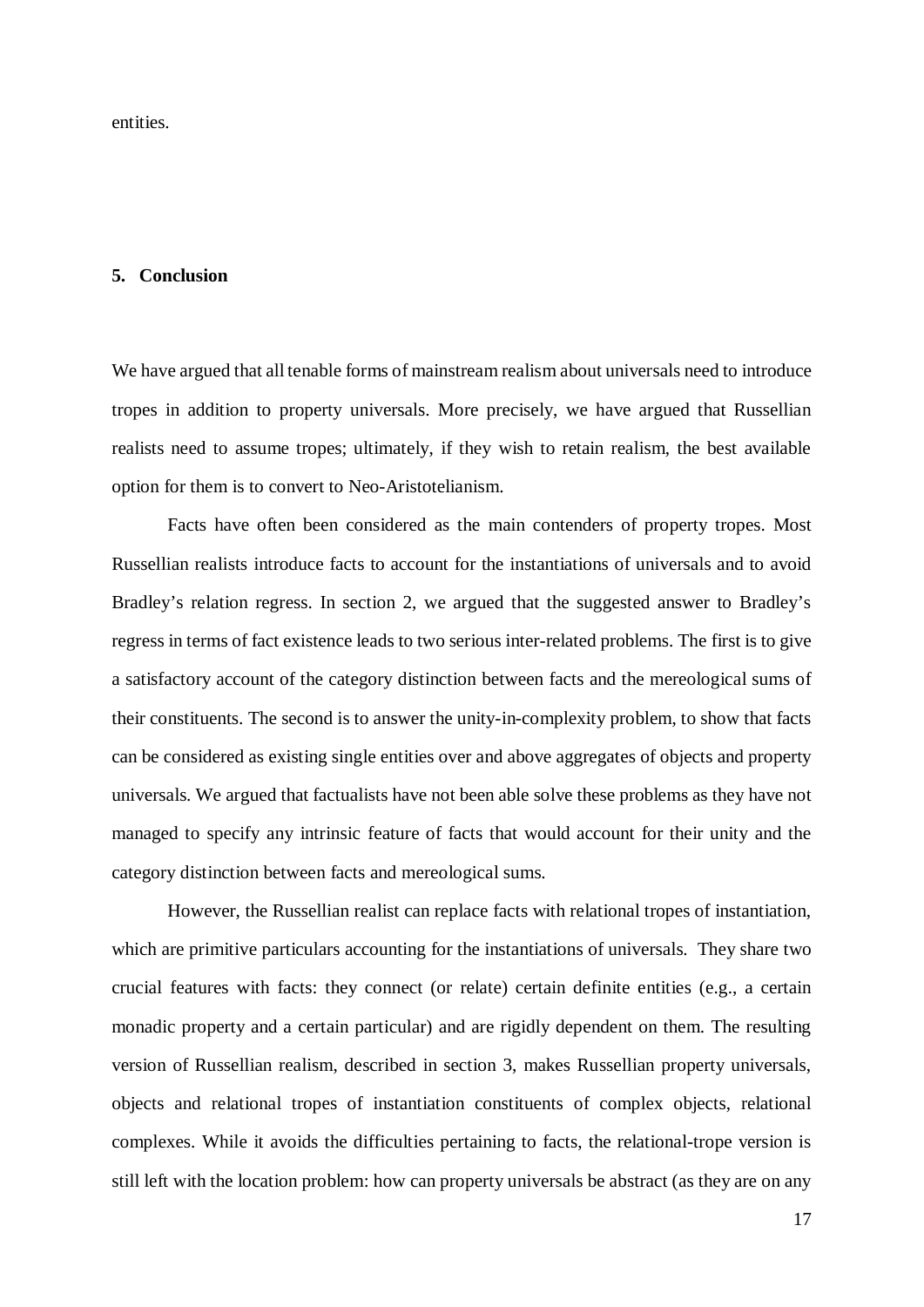entities.

### **5. Conclusion**

We have argued that all tenable forms of mainstream realism about universals need to introduce tropes in addition to property universals. More precisely, we have argued that Russellian realists need to assume tropes; ultimately, if they wish to retain realism, the best available option for them is to convert to Neo-Aristotelianism.

Facts have often been considered as the main contenders of property tropes. Most Russellian realists introduce facts to account for the instantiations of universals and to avoid Bradley's relation regress. In section 2, we argued that the suggested answer to Bradley's regress in terms of fact existence leads to two serious inter-related problems. The first is to give a satisfactory account of the category distinction between facts and the mereological sums of their constituents. The second is to answer the unity-in-complexity problem, to show that facts can be considered as existing single entities over and above aggregates of objects and property universals. We argued that factualists have not been able solve these problems as they have not managed to specify any intrinsic feature of facts that would account for their unity and the category distinction between facts and mereological sums.

However, the Russellian realist can replace facts with relational tropes of instantiation, which are primitive particulars accounting for the instantiations of universals. They share two crucial features with facts: they connect (or relate) certain definite entities (e.g., a certain monadic property and a certain particular) and are rigidly dependent on them. The resulting version of Russellian realism, described in section 3, makes Russellian property universals, objects and relational tropes of instantiation constituents of complex objects, relational complexes. While it avoids the difficulties pertaining to facts, the relational-trope version is still left with the location problem: how can property universals be abstract (as they are on any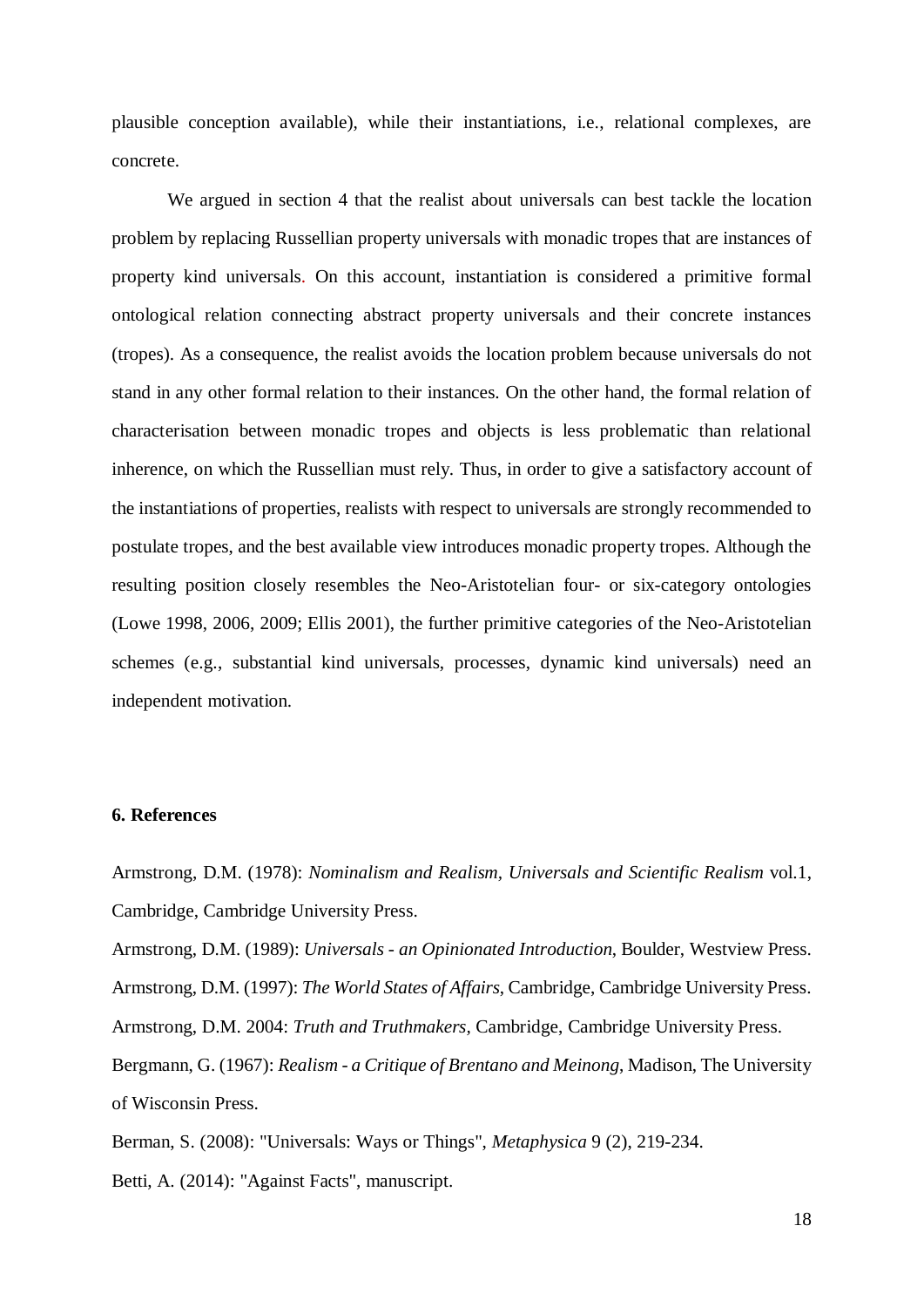plausible conception available), while their instantiations, i.e., relational complexes, are concrete.

We argued in section 4 that the realist about universals can best tackle the location problem by replacing Russellian property universals with monadic tropes that are instances of property kind universals. On this account, instantiation is considered a primitive formal ontological relation connecting abstract property universals and their concrete instances (tropes). As a consequence, the realist avoids the location problem because universals do not stand in any other formal relation to their instances. On the other hand, the formal relation of characterisation between monadic tropes and objects is less problematic than relational inherence, on which the Russellian must rely. Thus, in order to give a satisfactory account of the instantiations of properties, realists with respect to universals are strongly recommended to postulate tropes, and the best available view introduces monadic property tropes. Although the resulting position closely resembles the Neo-Aristotelian four- or six-category ontologies (Lowe 1998, 2006, 2009; Ellis 2001), the further primitive categories of the Neo-Aristotelian schemes (e.g., substantial kind universals, processes, dynamic kind universals) need an independent motivation.

## **6. References**

Armstrong, D.M. (1978): *Nominalism and Realism, Universals and Scientific Realism* vol.1, Cambridge, Cambridge University Press.

Armstrong, D.M. (1989): *Universals - an Opinionated Introduction*, Boulder, Westview Press. Armstrong, D.M. (1997): *The World States of Affairs*, Cambridge, Cambridge University Press. Armstrong, D.M. 2004: *Truth and Truthmakers,* Cambridge, Cambridge University Press. Bergmann, G. (1967): *Realism - a Critique of Brentano and Meinong*, Madison, The University of Wisconsin Press.

Berman, S. (2008): "Universals: Ways or Things", *Metaphysica* 9 (2), 219-234.

Betti, A. (2014): "Against Facts", manuscript.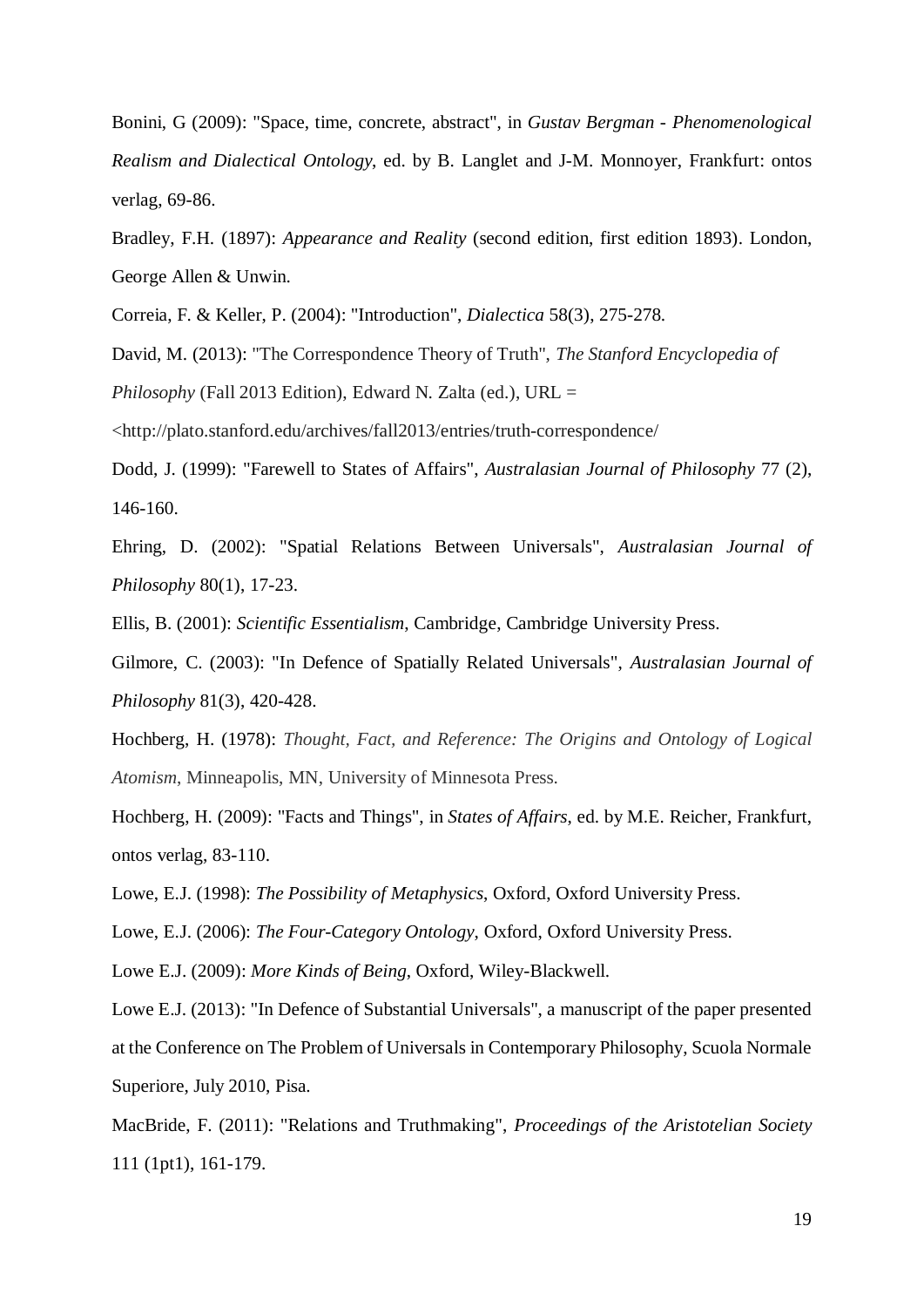Bonini, G (2009): "Space, time, concrete, abstract", in *Gustav Bergman - Phenomenological Realism and Dialectical Ontology*, ed. by B. Langlet and J-M. Monnoyer, Frankfurt: ontos verlag, 69-86.

Bradley, F.H. (1897): *Appearance and Reality* (second edition, first edition 1893). London, George Allen & Unwin.

Correia, F. & Keller, P. (2004): "Introduction", *Dialectica* 58(3), 275-278.

David, M. (2013): "The Correspondence Theory of Truth", *The Stanford Encyclopedia of* 

*Philosophy* (Fall 2013 Edition), Edward N. Zalta (ed.), URL =

<http://plato.stanford.edu/archives/fall2013/entries/truth-correspondence/

Dodd, J. (1999): "Farewell to States of Affairs", *Australasian Journal of Philosophy* 77 (2), 146-160.

Ehring, D. (2002): "Spatial Relations Between Universals", *Australasian Journal of Philosophy* 80(1), 17-23.

Ellis, B. (2001): *Scientific Essentialism*, Cambridge, Cambridge University Press.

Gilmore, C. (2003): "In Defence of Spatially Related Universals", *Australasian Journal of Philosophy* 81(3), 420-428.

Hochberg, H. (1978): *Thought, Fact, and Reference: The Origins and Ontology of Logical Atomism*, Minneapolis, MN, University of Minnesota Press.

Hochberg, H. (2009): "Facts and Things", in *States of Affairs*, ed. by M.E. Reicher, Frankfurt, ontos verlag, 83-110.

Lowe, E.J. (1998): *The Possibility of Metaphysics*, Oxford, Oxford University Press.

Lowe, E.J. (2006): *The Four-Category Ontology*, Oxford, Oxford University Press.

Lowe E.J. (2009): *More Kinds of Being*, Oxford, Wiley-Blackwell.

Lowe E.J. (2013): "In Defence of Substantial Universals", a manuscript of the paper presented at the Conference on The Problem of Universals in Contemporary Philosophy, Scuola Normale Superiore, July 2010, Pisa*.*

MacBride, F. (2011): "Relations and Truthmaking", *Proceedings of the Aristotelian Society* 111 (1pt1), 161-179.